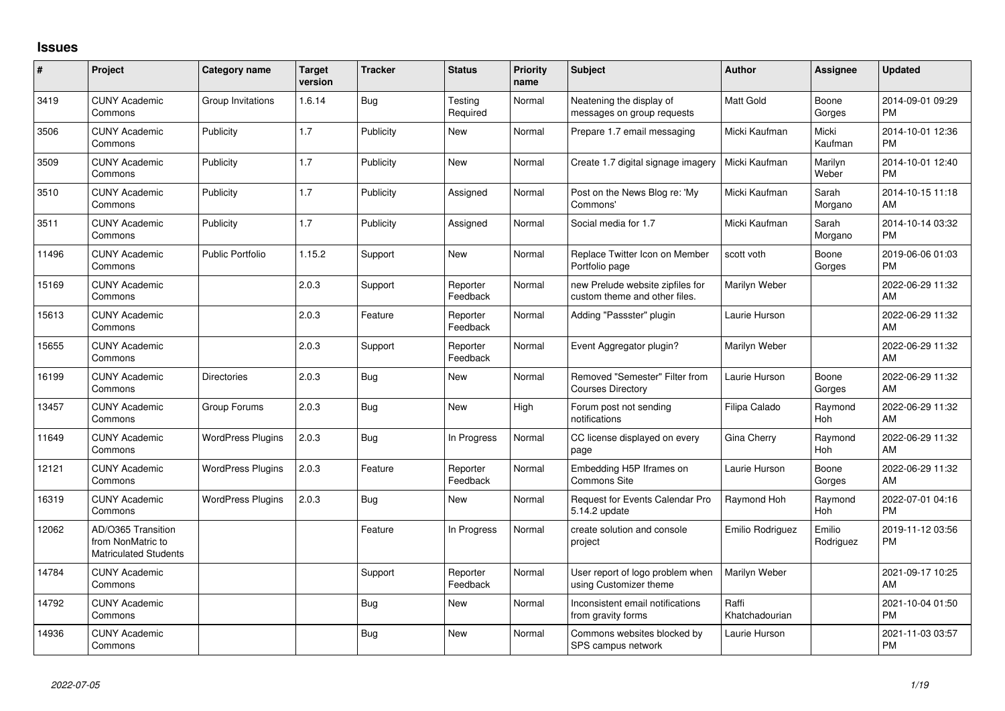## **Issues**

| $\pmb{\#}$ | Project                                                                 | <b>Category name</b>     | <b>Target</b><br>version | <b>Tracker</b> | <b>Status</b>        | <b>Priority</b><br>name | <b>Subject</b>                                                    | <b>Author</b>           | Assignee            | <b>Updated</b>                |
|------------|-------------------------------------------------------------------------|--------------------------|--------------------------|----------------|----------------------|-------------------------|-------------------------------------------------------------------|-------------------------|---------------------|-------------------------------|
| 3419       | <b>CUNY Academic</b><br>Commons                                         | Group Invitations        | 1.6.14                   | Bug            | Testing<br>Required  | Normal                  | Neatening the display of<br>messages on group requests            | Matt Gold               | Boone<br>Gorges     | 2014-09-01 09:29<br><b>PM</b> |
| 3506       | <b>CUNY Academic</b><br>Commons                                         | Publicity                | 1.7                      | Publicity      | New                  | Normal                  | Prepare 1.7 email messaging                                       | Micki Kaufman           | Micki<br>Kaufman    | 2014-10-01 12:36<br><b>PM</b> |
| 3509       | <b>CUNY Academic</b><br>Commons                                         | Publicity                | 1.7                      | Publicity      | <b>New</b>           | Normal                  | Create 1.7 digital signage imagery                                | Micki Kaufman           | Marilyn<br>Weber    | 2014-10-01 12:40<br><b>PM</b> |
| 3510       | <b>CUNY Academic</b><br>Commons                                         | Publicity                | 1.7                      | Publicity      | Assigned             | Normal                  | Post on the News Blog re: 'My<br>Commons'                         | Micki Kaufman           | Sarah<br>Morgano    | 2014-10-15 11:18<br>AM        |
| 3511       | <b>CUNY Academic</b><br>Commons                                         | Publicity                | 1.7                      | Publicity      | Assigned             | Normal                  | Social media for 1.7                                              | Micki Kaufman           | Sarah<br>Morgano    | 2014-10-14 03:32<br><b>PM</b> |
| 11496      | <b>CUNY Academic</b><br>Commons                                         | <b>Public Portfolio</b>  | 1.15.2                   | Support        | New                  | Normal                  | Replace Twitter Icon on Member<br>Portfolio page                  | scott voth              | Boone<br>Gorges     | 2019-06-06 01:03<br><b>PM</b> |
| 15169      | <b>CUNY Academic</b><br>Commons                                         |                          | 2.0.3                    | Support        | Reporter<br>Feedback | Normal                  | new Prelude website zipfiles for<br>custom theme and other files. | Marilyn Weber           |                     | 2022-06-29 11:32<br>AM        |
| 15613      | <b>CUNY Academic</b><br>Commons                                         |                          | 2.0.3                    | Feature        | Reporter<br>Feedback | Normal                  | Adding "Passster" plugin                                          | Laurie Hurson           |                     | 2022-06-29 11:32<br>AM        |
| 15655      | <b>CUNY Academic</b><br>Commons                                         |                          | 2.0.3                    | Support        | Reporter<br>Feedback | Normal                  | Event Aggregator plugin?                                          | Marilyn Weber           |                     | 2022-06-29 11:32<br>AM        |
| 16199      | <b>CUNY Academic</b><br>Commons                                         | <b>Directories</b>       | 2.0.3                    | Bug            | New                  | Normal                  | Removed "Semester" Filter from<br><b>Courses Directory</b>        | Laurie Hurson           | Boone<br>Gorges     | 2022-06-29 11:32<br>AM        |
| 13457      | <b>CUNY Academic</b><br>Commons                                         | Group Forums             | 2.0.3                    | Bug            | New                  | High                    | Forum post not sending<br>notifications                           | Filipa Calado           | Raymond<br>Hoh      | 2022-06-29 11:32<br>AM        |
| 11649      | <b>CUNY Academic</b><br>Commons                                         | <b>WordPress Plugins</b> | 2.0.3                    | Bug            | In Progress          | Normal                  | CC license displayed on every<br>page                             | Gina Cherry             | Raymond<br>Hoh      | 2022-06-29 11:32<br>AM        |
| 12121      | <b>CUNY Academic</b><br>Commons                                         | <b>WordPress Plugins</b> | 2.0.3                    | Feature        | Reporter<br>Feedback | Normal                  | Embedding H5P Iframes on<br>Commons Site                          | Laurie Hurson           | Boone<br>Gorges     | 2022-06-29 11:32<br>AM        |
| 16319      | <b>CUNY Academic</b><br>Commons                                         | <b>WordPress Plugins</b> | 2.0.3                    | Bug            | <b>New</b>           | Normal                  | Request for Events Calendar Pro<br>5.14.2 update                  | Raymond Hoh             | Raymond<br>Hoh      | 2022-07-01 04:16<br><b>PM</b> |
| 12062      | AD/O365 Transition<br>from NonMatric to<br><b>Matriculated Students</b> |                          |                          | Feature        | In Progress          | Normal                  | create solution and console<br>project                            | Emilio Rodriguez        | Emilio<br>Rodriguez | 2019-11-12 03:56<br><b>PM</b> |
| 14784      | <b>CUNY Academic</b><br>Commons                                         |                          |                          | Support        | Reporter<br>Feedback | Normal                  | User report of logo problem when<br>using Customizer theme        | Marilyn Weber           |                     | 2021-09-17 10:25<br>AM        |
| 14792      | <b>CUNY Academic</b><br>Commons                                         |                          |                          | Bug            | New                  | Normal                  | Inconsistent email notifications<br>from gravity forms            | Raffi<br>Khatchadourian |                     | 2021-10-04 01:50<br>PM        |
| 14936      | <b>CUNY Academic</b><br>Commons                                         |                          |                          | <b>Bug</b>     | <b>New</b>           | Normal                  | Commons websites blocked by<br>SPS campus network                 | Laurie Hurson           |                     | 2021-11-03 03:57<br><b>PM</b> |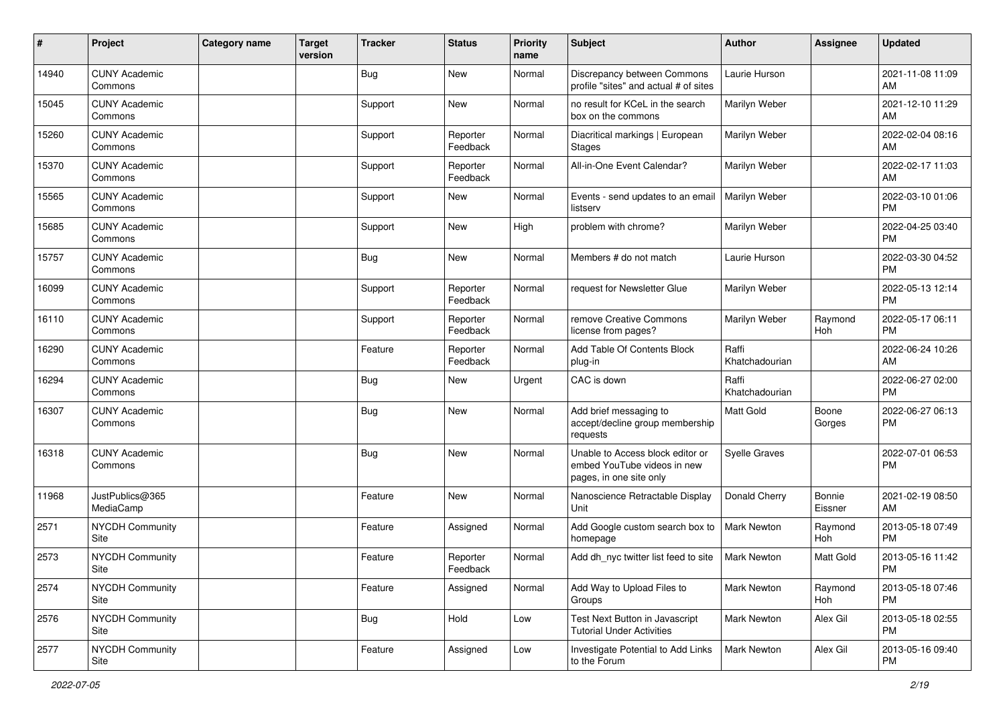| #     | Project                         | Category name | <b>Target</b><br>version | <b>Tracker</b> | <b>Status</b>        | <b>Priority</b><br>name | <b>Subject</b>                                                                             | <b>Author</b>           | Assignee          | <b>Updated</b>                |
|-------|---------------------------------|---------------|--------------------------|----------------|----------------------|-------------------------|--------------------------------------------------------------------------------------------|-------------------------|-------------------|-------------------------------|
| 14940 | <b>CUNY Academic</b><br>Commons |               |                          | <b>Bug</b>     | <b>New</b>           | Normal                  | Discrepancy between Commons<br>profile "sites" and actual # of sites                       | Laurie Hurson           |                   | 2021-11-08 11:09<br>AM        |
| 15045 | <b>CUNY Academic</b><br>Commons |               |                          | Support        | New                  | Normal                  | no result for KCeL in the search<br>box on the commons                                     | Marilyn Weber           |                   | 2021-12-10 11:29<br>AM        |
| 15260 | <b>CUNY Academic</b><br>Commons |               |                          | Support        | Reporter<br>Feedback | Normal                  | Diacritical markings   European<br><b>Stages</b>                                           | Marilyn Weber           |                   | 2022-02-04 08:16<br>AM        |
| 15370 | <b>CUNY Academic</b><br>Commons |               |                          | Support        | Reporter<br>Feedback | Normal                  | All-in-One Event Calendar?                                                                 | Marilyn Weber           |                   | 2022-02-17 11:03<br>AM        |
| 15565 | <b>CUNY Academic</b><br>Commons |               |                          | Support        | New                  | Normal                  | Events - send updates to an email<br>listserv                                              | Marilyn Weber           |                   | 2022-03-10 01:06<br><b>PM</b> |
| 15685 | <b>CUNY Academic</b><br>Commons |               |                          | Support        | <b>New</b>           | High                    | problem with chrome?                                                                       | Marilyn Weber           |                   | 2022-04-25 03:40<br><b>PM</b> |
| 15757 | <b>CUNY Academic</b><br>Commons |               |                          | <b>Bug</b>     | <b>New</b>           | Normal                  | Members # do not match                                                                     | Laurie Hurson           |                   | 2022-03-30 04:52<br><b>PM</b> |
| 16099 | <b>CUNY Academic</b><br>Commons |               |                          | Support        | Reporter<br>Feedback | Normal                  | request for Newsletter Glue                                                                | Marilyn Weber           |                   | 2022-05-13 12:14<br><b>PM</b> |
| 16110 | <b>CUNY Academic</b><br>Commons |               |                          | Support        | Reporter<br>Feedback | Normal                  | remove Creative Commons<br>license from pages?                                             | Marilyn Weber           | Raymond<br>Hoh    | 2022-05-17 06:11<br><b>PM</b> |
| 16290 | <b>CUNY Academic</b><br>Commons |               |                          | Feature        | Reporter<br>Feedback | Normal                  | Add Table Of Contents Block<br>plug-in                                                     | Raffi<br>Khatchadourian |                   | 2022-06-24 10:26<br>AM        |
| 16294 | <b>CUNY Academic</b><br>Commons |               |                          | <b>Bug</b>     | <b>New</b>           | Urgent                  | CAC is down                                                                                | Raffi<br>Khatchadourian |                   | 2022-06-27 02:00<br><b>PM</b> |
| 16307 | <b>CUNY Academic</b><br>Commons |               |                          | <b>Bug</b>     | <b>New</b>           | Normal                  | Add brief messaging to<br>accept/decline group membership<br>requests                      | <b>Matt Gold</b>        | Boone<br>Gorges   | 2022-06-27 06:13<br><b>PM</b> |
| 16318 | <b>CUNY Academic</b><br>Commons |               |                          | <b>Bug</b>     | <b>New</b>           | Normal                  | Unable to Access block editor or<br>embed YouTube videos in new<br>pages, in one site only | <b>Syelle Graves</b>    |                   | 2022-07-01 06:53<br><b>PM</b> |
| 11968 | JustPublics@365<br>MediaCamp    |               |                          | Feature        | New                  | Normal                  | Nanoscience Retractable Display<br>Unit                                                    | Donald Cherry           | Bonnie<br>Eissner | 2021-02-19 08:50<br>AM        |
| 2571  | <b>NYCDH Community</b><br>Site  |               |                          | Feature        | Assigned             | Normal                  | Add Google custom search box to<br>homepage                                                | <b>Mark Newton</b>      | Raymond<br>Hoh    | 2013-05-18 07:49<br><b>PM</b> |
| 2573  | <b>NYCDH Community</b><br>Site  |               |                          | Feature        | Reporter<br>Feedback | Normal                  | Add dh nyc twitter list feed to site                                                       | <b>Mark Newton</b>      | Matt Gold         | 2013-05-16 11:42<br>PM        |
| 2574  | <b>NYCDH Community</b><br>Site  |               |                          | Feature        | Assigned             | Normal                  | Add Way to Upload Files to<br>Groups                                                       | Mark Newton             | Raymond<br>Hoh    | 2013-05-18 07:46<br><b>PM</b> |
| 2576  | NYCDH Community<br>Site         |               |                          | <b>Bug</b>     | Hold                 | Low                     | Test Next Button in Javascript<br><b>Tutorial Under Activities</b>                         | <b>Mark Newton</b>      | Alex Gil          | 2013-05-18 02:55<br><b>PM</b> |
| 2577  | <b>NYCDH Community</b><br>Site  |               |                          | Feature        | Assigned             | Low                     | Investigate Potential to Add Links<br>to the Forum                                         | Mark Newton             | Alex Gil          | 2013-05-16 09:40<br><b>PM</b> |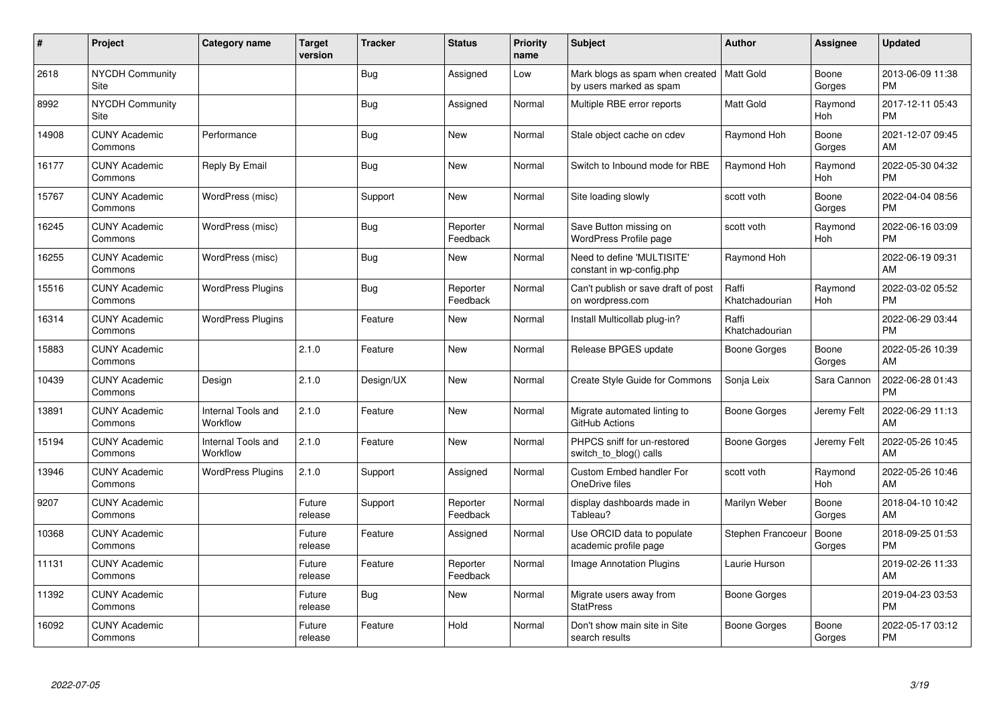| #     | Project                         | <b>Category name</b>           | <b>Target</b><br>version | <b>Tracker</b> | <b>Status</b>        | <b>Priority</b><br>name | <b>Subject</b>                                                         | <b>Author</b>           | <b>Assignee</b> | <b>Updated</b>                |
|-------|---------------------------------|--------------------------------|--------------------------|----------------|----------------------|-------------------------|------------------------------------------------------------------------|-------------------------|-----------------|-------------------------------|
| 2618  | <b>NYCDH Community</b><br>Site  |                                |                          | Bug            | Assigned             | Low                     | Mark blogs as spam when created   Matt Gold<br>by users marked as spam |                         | Boone<br>Gorges | 2013-06-09 11:38<br><b>PM</b> |
| 8992  | <b>NYCDH Community</b><br>Site  |                                |                          | <b>Bug</b>     | Assigned             | Normal                  | Multiple RBE error reports                                             | Matt Gold               | Raymond<br>Hoh  | 2017-12-11 05:43<br><b>PM</b> |
| 14908 | <b>CUNY Academic</b><br>Commons | Performance                    |                          | <b>Bug</b>     | <b>New</b>           | Normal                  | Stale object cache on cdev                                             | Raymond Hoh             | Boone<br>Gorges | 2021-12-07 09:45<br>AM        |
| 16177 | <b>CUNY Academic</b><br>Commons | Reply By Email                 |                          | Bug            | <b>New</b>           | Normal                  | Switch to Inbound mode for RBE                                         | Raymond Hoh             | Raymond<br>Hoh  | 2022-05-30 04:32<br><b>PM</b> |
| 15767 | <b>CUNY Academic</b><br>Commons | WordPress (misc)               |                          | Support        | New                  | Normal                  | Site loading slowly                                                    | scott voth              | Boone<br>Gorges | 2022-04-04 08:56<br><b>PM</b> |
| 16245 | <b>CUNY Academic</b><br>Commons | WordPress (misc)               |                          | Bug            | Reporter<br>Feedback | Normal                  | Save Button missing on<br><b>WordPress Profile page</b>                | scott voth              | Raymond<br>Hoh  | 2022-06-16 03:09<br><b>PM</b> |
| 16255 | <b>CUNY Academic</b><br>Commons | WordPress (misc)               |                          | Bug            | New                  | Normal                  | Need to define 'MULTISITE'<br>constant in wp-config.php                | Raymond Hoh             |                 | 2022-06-19 09:31<br>AM        |
| 15516 | <b>CUNY Academic</b><br>Commons | <b>WordPress Plugins</b>       |                          | <b>Bug</b>     | Reporter<br>Feedback | Normal                  | Can't publish or save draft of post<br>on wordpress.com                | Raffi<br>Khatchadourian | Raymond<br>Hoh  | 2022-03-02 05:52<br><b>PM</b> |
| 16314 | <b>CUNY Academic</b><br>Commons | <b>WordPress Plugins</b>       |                          | Feature        | New                  | Normal                  | Install Multicollab plug-in?                                           | Raffi<br>Khatchadourian |                 | 2022-06-29 03:44<br><b>PM</b> |
| 15883 | <b>CUNY Academic</b><br>Commons |                                | 2.1.0                    | Feature        | New                  | Normal                  | Release BPGES update                                                   | Boone Gorges            | Boone<br>Gorges | 2022-05-26 10:39<br>AM        |
| 10439 | <b>CUNY Academic</b><br>Commons | Design                         | 2.1.0                    | Design/UX      | New                  | Normal                  | Create Style Guide for Commons                                         | Sonja Leix              | Sara Cannon     | 2022-06-28 01:43<br><b>PM</b> |
| 13891 | <b>CUNY Academic</b><br>Commons | Internal Tools and<br>Workflow | 2.1.0                    | Feature        | New                  | Normal                  | Migrate automated linting to<br>GitHub Actions                         | Boone Gorges            | Jeremy Felt     | 2022-06-29 11:13<br>AM        |
| 15194 | <b>CUNY Academic</b><br>Commons | Internal Tools and<br>Workflow | 2.1.0                    | Feature        | New                  | Normal                  | PHPCS sniff for un-restored<br>switch_to_blog() calls                  | Boone Gorges            | Jeremy Felt     | 2022-05-26 10:45<br>AM        |
| 13946 | <b>CUNY Academic</b><br>Commons | <b>WordPress Plugins</b>       | 2.1.0                    | Support        | Assigned             | Normal                  | <b>Custom Embed handler For</b><br>OneDrive files                      | scott voth              | Raymond<br>Hoh  | 2022-05-26 10:46<br>AM        |
| 9207  | <b>CUNY Academic</b><br>Commons |                                | Future<br>release        | Support        | Reporter<br>Feedback | Normal                  | display dashboards made in<br>Tableau?                                 | Marilyn Weber           | Boone<br>Gorges | 2018-04-10 10:42<br>AM        |
| 10368 | <b>CUNY Academic</b><br>Commons |                                | Future<br>release        | Feature        | Assigned             | Normal                  | Use ORCID data to populate<br>academic profile page                    | Stephen Francoeur       | Boone<br>Gorges | 2018-09-25 01:53<br><b>PM</b> |
| 11131 | <b>CUNY Academic</b><br>Commons |                                | Future<br>release        | Feature        | Reporter<br>Feedback | Normal                  | Image Annotation Plugins                                               | Laurie Hurson           |                 | 2019-02-26 11:33<br>AM        |
| 11392 | <b>CUNY Academic</b><br>Commons |                                | Future<br>release        | Bug            | New                  | Normal                  | Migrate users away from<br><b>StatPress</b>                            | <b>Boone Gorges</b>     |                 | 2019-04-23 03:53<br><b>PM</b> |
| 16092 | <b>CUNY Academic</b><br>Commons |                                | Future<br>release        | Feature        | Hold                 | Normal                  | Don't show main site in Site<br>search results                         | Boone Gorges            | Boone<br>Gorges | 2022-05-17 03:12<br><b>PM</b> |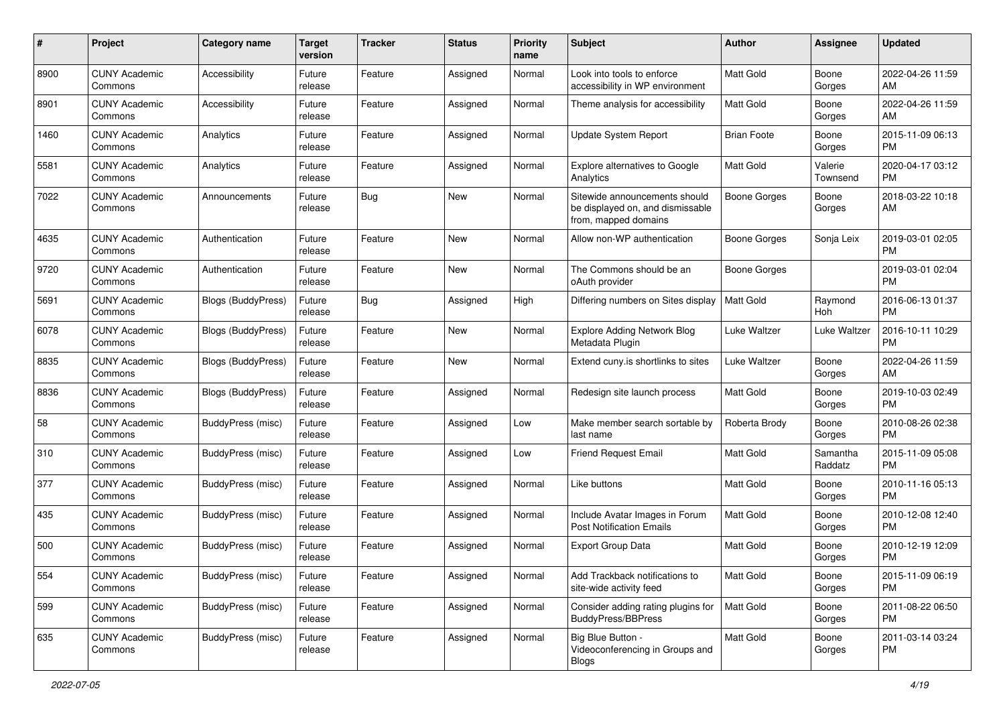| #    | Project                         | <b>Category name</b>      | <b>Target</b><br>version | <b>Tracker</b> | <b>Status</b> | Priority<br>name | <b>Subject</b>                                                                            | Author             | <b>Assignee</b>     | <b>Updated</b>                |
|------|---------------------------------|---------------------------|--------------------------|----------------|---------------|------------------|-------------------------------------------------------------------------------------------|--------------------|---------------------|-------------------------------|
| 8900 | <b>CUNY Academic</b><br>Commons | Accessibility             | Future<br>release        | Feature        | Assigned      | Normal           | Look into tools to enforce<br>accessibility in WP environment                             | <b>Matt Gold</b>   | Boone<br>Gorges     | 2022-04-26 11:59<br>AM.       |
| 8901 | <b>CUNY Academic</b><br>Commons | Accessibility             | Future<br>release        | Feature        | Assigned      | Normal           | Theme analysis for accessibility                                                          | Matt Gold          | Boone<br>Gorges     | 2022-04-26 11:59<br>AM        |
| 1460 | <b>CUNY Academic</b><br>Commons | Analytics                 | Future<br>release        | Feature        | Assigned      | Normal           | <b>Update System Report</b>                                                               | <b>Brian Foote</b> | Boone<br>Gorges     | 2015-11-09 06:13<br><b>PM</b> |
| 5581 | <b>CUNY Academic</b><br>Commons | Analytics                 | Future<br>release        | Feature        | Assigned      | Normal           | Explore alternatives to Google<br>Analytics                                               | <b>Matt Gold</b>   | Valerie<br>Townsend | 2020-04-17 03:12<br>PM.       |
| 7022 | <b>CUNY Academic</b><br>Commons | Announcements             | Future<br>release        | Bug            | New           | Normal           | Sitewide announcements should<br>be displayed on, and dismissable<br>from, mapped domains | Boone Gorges       | Boone<br>Gorges     | 2018-03-22 10:18<br>AM        |
| 4635 | <b>CUNY Academic</b><br>Commons | Authentication            | Future<br>release        | Feature        | New           | Normal           | Allow non-WP authentication                                                               | Boone Gorges       | Sonja Leix          | 2019-03-01 02:05<br><b>PM</b> |
| 9720 | <b>CUNY Academic</b><br>Commons | Authentication            | Future<br>release        | Feature        | New           | Normal           | The Commons should be an<br>oAuth provider                                                | Boone Gorges       |                     | 2019-03-01 02:04<br><b>PM</b> |
| 5691 | <b>CUNY Academic</b><br>Commons | <b>Blogs (BuddyPress)</b> | Future<br>release        | Bug            | Assigned      | High             | Differing numbers on Sites display                                                        | <b>Matt Gold</b>   | Raymond<br>Hoh      | 2016-06-13 01:37<br><b>PM</b> |
| 6078 | <b>CUNY Academic</b><br>Commons | Blogs (BuddyPress)        | Future<br>release        | Feature        | New           | Normal           | <b>Explore Adding Network Blog</b><br>Metadata Plugin                                     | Luke Waltzer       | Luke Waltzer        | 2016-10-11 10:29<br><b>PM</b> |
| 8835 | <b>CUNY Academic</b><br>Commons | <b>Blogs (BuddyPress)</b> | Future<br>release        | Feature        | New           | Normal           | Extend cuny.is shortlinks to sites                                                        | Luke Waltzer       | Boone<br>Gorges     | 2022-04-26 11:59<br>AM.       |
| 8836 | <b>CUNY Academic</b><br>Commons | Blogs (BuddyPress)        | Future<br>release        | Feature        | Assigned      | Normal           | Redesign site launch process                                                              | Matt Gold          | Boone<br>Gorges     | 2019-10-03 02:49<br><b>PM</b> |
| 58   | <b>CUNY Academic</b><br>Commons | <b>BuddyPress</b> (misc)  | Future<br>release        | Feature        | Assigned      | Low              | Make member search sortable by<br>last name                                               | Roberta Brody      | Boone<br>Gorges     | 2010-08-26 02:38<br>PM.       |
| 310  | <b>CUNY Academic</b><br>Commons | BuddyPress (misc)         | Future<br>release        | Feature        | Assigned      | Low              | <b>Friend Request Email</b>                                                               | <b>Matt Gold</b>   | Samantha<br>Raddatz | 2015-11-09 05:08<br><b>PM</b> |
| 377  | <b>CUNY Academic</b><br>Commons | <b>BuddyPress (misc)</b>  | Future<br>release        | Feature        | Assigned      | Normal           | Like buttons                                                                              | <b>Matt Gold</b>   | Boone<br>Gorges     | 2010-11-16 05:13<br><b>PM</b> |
| 435  | <b>CUNY Academic</b><br>Commons | BuddyPress (misc)         | Future<br>release        | Feature        | Assigned      | Normal           | Include Avatar Images in Forum<br><b>Post Notification Emails</b>                         | Matt Gold          | Boone<br>Gorges     | 2010-12-08 12:40<br><b>PM</b> |
| 500  | <b>CUNY Academic</b><br>Commons | <b>BuddyPress</b> (misc)  | Future<br>release        | Feature        | Assigned      | Normal           | Export Group Data                                                                         | <b>Matt Gold</b>   | Boone<br>Gorges     | 2010-12-19 12:09<br>PM        |
| 554  | <b>CUNY Academic</b><br>Commons | BuddyPress (misc)         | Future<br>release        | Feature        | Assigned      | Normal           | Add Trackback notifications to<br>site-wide activity feed                                 | <b>Matt Gold</b>   | Boone<br>Gorges     | 2015-11-09 06:19<br><b>PM</b> |
| 599  | <b>CUNY Academic</b><br>Commons | BuddyPress (misc)         | Future<br>release        | Feature        | Assigned      | Normal           | Consider adding rating plugins for<br>BuddyPress/BBPress                                  | Matt Gold          | Boone<br>Gorges     | 2011-08-22 06:50<br><b>PM</b> |
| 635  | <b>CUNY Academic</b><br>Commons | BuddyPress (misc)         | Future<br>release        | Feature        | Assigned      | Normal           | Big Blue Button -<br>Videoconferencing in Groups and<br>Blogs                             | Matt Gold          | Boone<br>Gorges     | 2011-03-14 03:24<br>PM.       |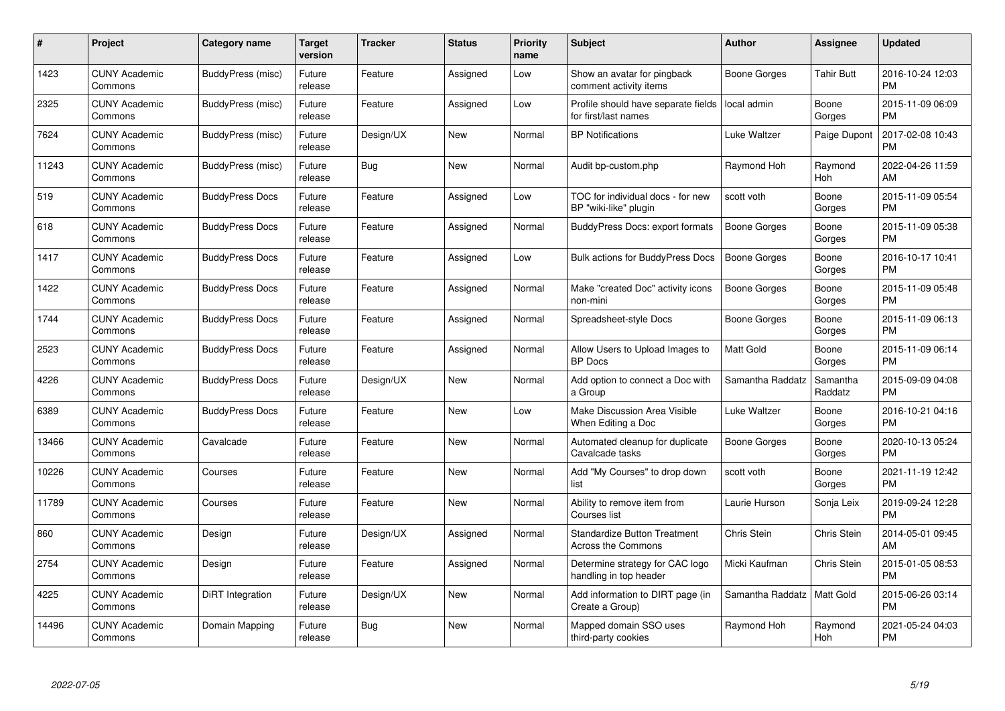| #     | Project                         | <b>Category name</b>     | Target<br>version | <b>Tracker</b> | <b>Status</b> | Priority<br>name | <b>Subject</b>                                                   | <b>Author</b>       | <b>Assignee</b>     | <b>Updated</b>                |
|-------|---------------------------------|--------------------------|-------------------|----------------|---------------|------------------|------------------------------------------------------------------|---------------------|---------------------|-------------------------------|
| 1423  | <b>CUNY Academic</b><br>Commons | BuddyPress (misc)        | Future<br>release | Feature        | Assigned      | Low              | Show an avatar for pingback<br>comment activity items            | Boone Gorges        | <b>Tahir Butt</b>   | 2016-10-24 12:03<br><b>PM</b> |
| 2325  | <b>CUNY Academic</b><br>Commons | BuddyPress (misc)        | Future<br>release | Feature        | Assigned      | Low              | Profile should have separate fields<br>for first/last names      | local admin         | Boone<br>Gorges     | 2015-11-09 06:09<br><b>PM</b> |
| 7624  | <b>CUNY Academic</b><br>Commons | <b>BuddyPress</b> (misc) | Future<br>release | Design/UX      | New           | Normal           | <b>BP Notifications</b>                                          | Luke Waltzer        | Paige Dupont        | 2017-02-08 10:43<br><b>PM</b> |
| 11243 | <b>CUNY Academic</b><br>Commons | BuddyPress (misc)        | Future<br>release | Bug            | <b>New</b>    | Normal           | Audit bp-custom.php                                              | Raymond Hoh         | Raymond<br>Hoh      | 2022-04-26 11:59<br>AM        |
| 519   | <b>CUNY Academic</b><br>Commons | <b>BuddyPress Docs</b>   | Future<br>release | Feature        | Assigned      | Low              | TOC for individual docs - for new<br>BP "wiki-like" plugin       | scott voth          | Boone<br>Gorges     | 2015-11-09 05:54<br><b>PM</b> |
| 618   | <b>CUNY Academic</b><br>Commons | <b>BuddyPress Docs</b>   | Future<br>release | Feature        | Assigned      | Normal           | BuddyPress Docs: export formats                                  | <b>Boone Gorges</b> | Boone<br>Gorges     | 2015-11-09 05:38<br><b>PM</b> |
| 1417  | <b>CUNY Academic</b><br>Commons | <b>BuddyPress Docs</b>   | Future<br>release | Feature        | Assigned      | Low              | <b>Bulk actions for BuddyPress Docs</b>                          | <b>Boone Gorges</b> | Boone<br>Gorges     | 2016-10-17 10:41<br><b>PM</b> |
| 1422  | <b>CUNY Academic</b><br>Commons | <b>BuddyPress Docs</b>   | Future<br>release | Feature        | Assigned      | Normal           | Make "created Doc" activity icons<br>non-mini                    | <b>Boone Gorges</b> | Boone<br>Gorges     | 2015-11-09 05:48<br><b>PM</b> |
| 1744  | <b>CUNY Academic</b><br>Commons | <b>BuddyPress Docs</b>   | Future<br>release | Feature        | Assigned      | Normal           | Spreadsheet-style Docs                                           | Boone Gorges        | Boone<br>Gorges     | 2015-11-09 06:13<br><b>PM</b> |
| 2523  | <b>CUNY Academic</b><br>Commons | <b>BuddyPress Docs</b>   | Future<br>release | Feature        | Assigned      | Normal           | Allow Users to Upload Images to<br><b>BP</b> Docs                | Matt Gold           | Boone<br>Gorges     | 2015-11-09 06:14<br>PM        |
| 4226  | <b>CUNY Academic</b><br>Commons | <b>BuddyPress Docs</b>   | Future<br>release | Design/UX      | New           | Normal           | Add option to connect a Doc with<br>a Group                      | Samantha Raddatz    | Samantha<br>Raddatz | 2015-09-09 04:08<br><b>PM</b> |
| 6389  | <b>CUNY Academic</b><br>Commons | <b>BuddyPress Docs</b>   | Future<br>release | Feature        | New           | Low              | Make Discussion Area Visible<br>When Editing a Doc               | Luke Waltzer        | Boone<br>Gorges     | 2016-10-21 04:16<br><b>PM</b> |
| 13466 | <b>CUNY Academic</b><br>Commons | Cavalcade                | Future<br>release | Feature        | New           | Normal           | Automated cleanup for duplicate<br>Cavalcade tasks               | Boone Gorges        | Boone<br>Gorges     | 2020-10-13 05:24<br>PM.       |
| 10226 | <b>CUNY Academic</b><br>Commons | Courses                  | Future<br>release | Feature        | New           | Normal           | Add "My Courses" to drop down<br>list                            | scott voth          | Boone<br>Gorges     | 2021-11-19 12:42<br><b>PM</b> |
| 11789 | <b>CUNY Academic</b><br>Commons | Courses                  | Future<br>release | Feature        | New           | Normal           | Ability to remove item from<br>Courses list                      | Laurie Hurson       | Sonja Leix          | 2019-09-24 12:28<br><b>PM</b> |
| 860   | <b>CUNY Academic</b><br>Commons | Design                   | Future<br>release | Design/UX      | Assigned      | Normal           | <b>Standardize Button Treatment</b><br><b>Across the Commons</b> | Chris Stein         | Chris Stein         | 2014-05-01 09:45<br>AM        |
| 2754  | <b>CUNY Academic</b><br>Commons | Design                   | Future<br>release | Feature        | Assigned      | Normal           | Determine strategy for CAC logo<br>handling in top header        | Micki Kaufman       | Chris Stein         | 2015-01-05 08:53<br><b>PM</b> |
| 4225  | <b>CUNY Academic</b><br>Commons | DiRT Integration         | Future<br>release | Design/UX      | New           | Normal           | Add information to DIRT page (in<br>Create a Group)              | Samantha Raddatz    | Matt Gold           | 2015-06-26 03:14<br><b>PM</b> |
| 14496 | <b>CUNY Academic</b><br>Commons | Domain Mapping           | Future<br>release | Bug            | <b>New</b>    | Normal           | Mapped domain SSO uses<br>third-party cookies                    | Raymond Hoh         | Raymond<br>Hoh      | 2021-05-24 04:03<br>PM        |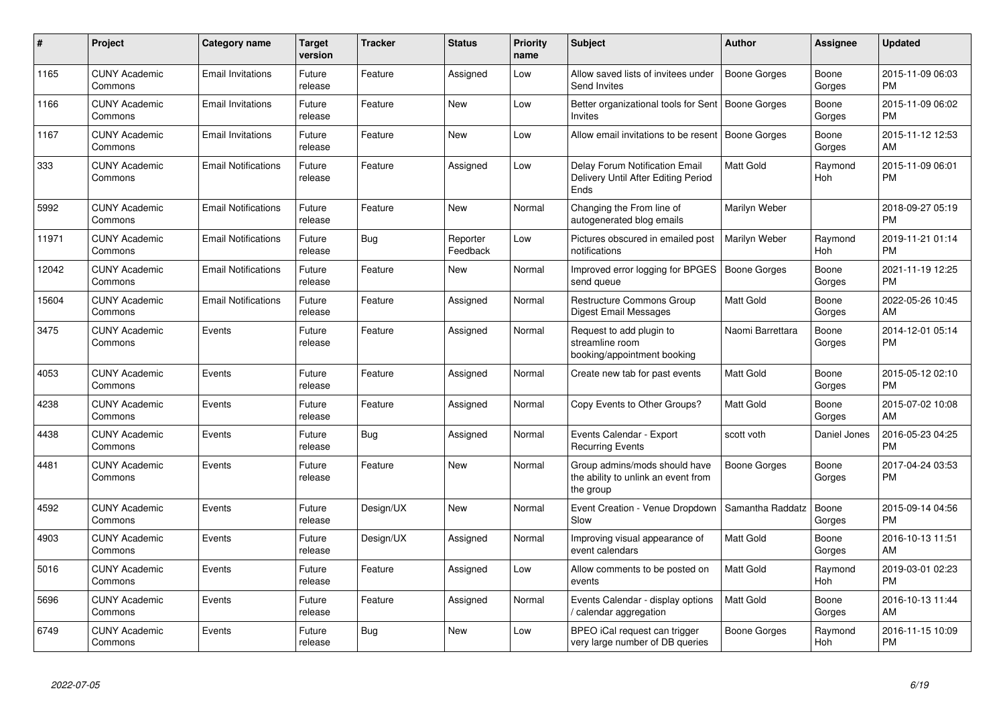| #     | Project                         | <b>Category name</b>       | <b>Target</b><br>version | <b>Tracker</b> | <b>Status</b>        | <b>Priority</b><br>name | <b>Subject</b>                                                                    | <b>Author</b>       | <b>Assignee</b> | <b>Updated</b>                |
|-------|---------------------------------|----------------------------|--------------------------|----------------|----------------------|-------------------------|-----------------------------------------------------------------------------------|---------------------|-----------------|-------------------------------|
| 1165  | <b>CUNY Academic</b><br>Commons | <b>Email Invitations</b>   | Future<br>release        | Feature        | Assigned             | Low                     | Allow saved lists of invitees under<br>Send Invites                               | <b>Boone Gorges</b> | Boone<br>Gorges | 2015-11-09 06:03<br><b>PM</b> |
| 1166  | <b>CUNY Academic</b><br>Commons | <b>Email Invitations</b>   | Future<br>release        | Feature        | <b>New</b>           | Low                     | Better organizational tools for Sent   Boone Gorges<br><b>Invites</b>             |                     | Boone<br>Gorges | 2015-11-09 06:02<br><b>PM</b> |
| 1167  | <b>CUNY Academic</b><br>Commons | Email Invitations          | Future<br>release        | Feature        | New                  | Low                     | Allow email invitations to be resent                                              | <b>Boone Gorges</b> | Boone<br>Gorges | 2015-11-12 12:53<br>AM        |
| 333   | <b>CUNY Academic</b><br>Commons | <b>Email Notifications</b> | Future<br>release        | Feature        | Assigned             | Low                     | Delay Forum Notification Email<br>Delivery Until After Editing Period<br>Ends     | <b>Matt Gold</b>    | Raymond<br>Hoh  | 2015-11-09 06:01<br><b>PM</b> |
| 5992  | <b>CUNY Academic</b><br>Commons | <b>Email Notifications</b> | Future<br>release        | Feature        | New                  | Normal                  | Changing the From line of<br>autogenerated blog emails                            | Marilyn Weber       |                 | 2018-09-27 05:19<br><b>PM</b> |
| 11971 | <b>CUNY Academic</b><br>Commons | <b>Email Notifications</b> | Future<br>release        | Bug            | Reporter<br>Feedback | Low                     | Pictures obscured in emailed post<br>notifications                                | Marilyn Weber       | Raymond<br>Hoh  | 2019-11-21 01:14<br><b>PM</b> |
| 12042 | <b>CUNY Academic</b><br>Commons | <b>Email Notifications</b> | Future<br>release        | Feature        | <b>New</b>           | Normal                  | Improved error logging for BPGES<br>send queue                                    | <b>Boone Gorges</b> | Boone<br>Gorges | 2021-11-19 12:25<br><b>PM</b> |
| 15604 | <b>CUNY Academic</b><br>Commons | <b>Email Notifications</b> | Future<br>release        | Feature        | Assigned             | Normal                  | <b>Restructure Commons Group</b><br>Digest Email Messages                         | <b>Matt Gold</b>    | Boone<br>Gorges | 2022-05-26 10:45<br>AM        |
| 3475  | <b>CUNY Academic</b><br>Commons | Events                     | Future<br>release        | Feature        | Assigned             | Normal                  | Request to add plugin to<br>streamline room<br>booking/appointment booking        | Naomi Barrettara    | Boone<br>Gorges | 2014-12-01 05:14<br><b>PM</b> |
| 4053  | <b>CUNY Academic</b><br>Commons | Events                     | Future<br>release        | Feature        | Assigned             | Normal                  | Create new tab for past events                                                    | Matt Gold           | Boone<br>Gorges | 2015-05-12 02:10<br><b>PM</b> |
| 4238  | <b>CUNY Academic</b><br>Commons | Events                     | Future<br>release        | Feature        | Assigned             | Normal                  | Copy Events to Other Groups?                                                      | <b>Matt Gold</b>    | Boone<br>Gorges | 2015-07-02 10:08<br>AM        |
| 4438  | <b>CUNY Academic</b><br>Commons | Events                     | Future<br>release        | <b>Bug</b>     | Assigned             | Normal                  | Events Calendar - Export<br><b>Recurring Events</b>                               | scott voth          | Daniel Jones    | 2016-05-23 04:25<br><b>PM</b> |
| 4481  | <b>CUNY Academic</b><br>Commons | Events                     | Future<br>release        | Feature        | <b>New</b>           | Normal                  | Group admins/mods should have<br>the ability to unlink an event from<br>the group | Boone Gorges        | Boone<br>Gorges | 2017-04-24 03:53<br><b>PM</b> |
| 4592  | <b>CUNY Academic</b><br>Commons | Events                     | Future<br>release        | Design/UX      | New                  | Normal                  | Event Creation - Venue Dropdown<br>Slow                                           | Samantha Raddatz    | Boone<br>Gorges | 2015-09-14 04:56<br><b>PM</b> |
| 4903  | <b>CUNY Academic</b><br>Commons | Events                     | Future<br>release        | Design/UX      | Assigned             | Normal                  | Improving visual appearance of<br>event calendars                                 | Matt Gold           | Boone<br>Gorges | 2016-10-13 11:51<br>AM        |
| 5016  | <b>CUNY Academic</b><br>Commons | Events                     | Future<br>release        | Feature        | Assigned             | Low                     | Allow comments to be posted on<br>events                                          | <b>Matt Gold</b>    | Raymond<br>Hoh  | 2019-03-01 02:23<br><b>PM</b> |
| 5696  | <b>CUNY Academic</b><br>Commons | Events                     | Future<br>release        | Feature        | Assigned             | Normal                  | Events Calendar - display options<br>calendar aggregation /                       | <b>Matt Gold</b>    | Boone<br>Gorges | 2016-10-13 11:44<br>AM        |
| 6749  | <b>CUNY Academic</b><br>Commons | Events                     | Future<br>release        | Bug            | <b>New</b>           | Low                     | BPEO iCal request can trigger<br>very large number of DB queries                  | Boone Gorges        | Raymond<br>Hoh  | 2016-11-15 10:09<br><b>PM</b> |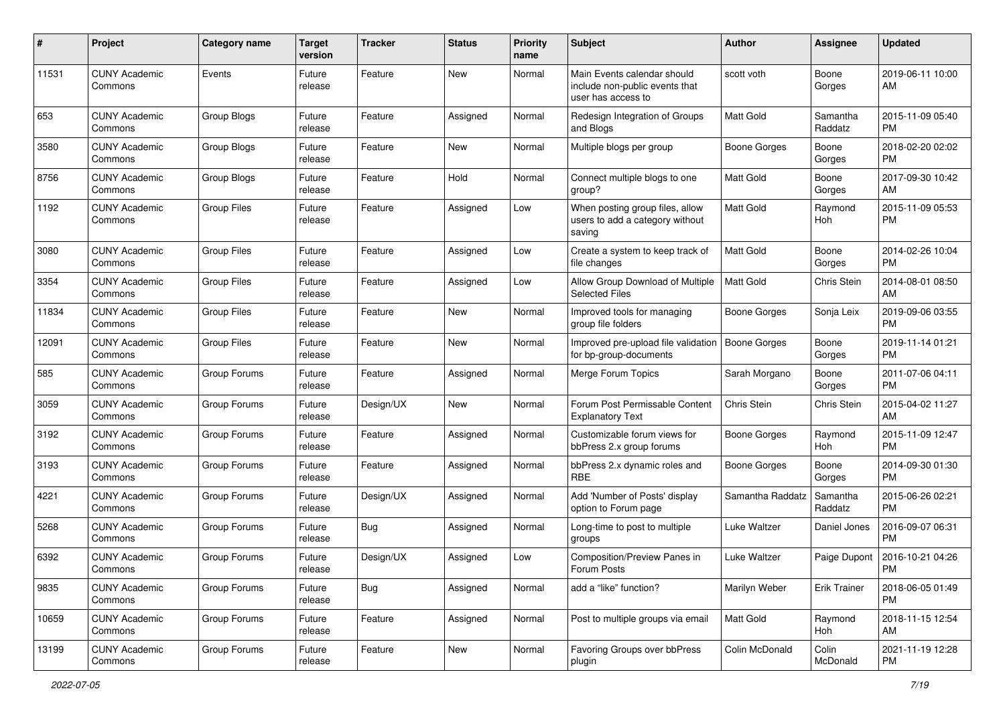| #     | Project                         | Category name      | <b>Target</b><br>version | <b>Tracker</b> | <b>Status</b> | <b>Priority</b><br>name | Subject                                                                             | Author              | <b>Assignee</b>     | <b>Updated</b>                |
|-------|---------------------------------|--------------------|--------------------------|----------------|---------------|-------------------------|-------------------------------------------------------------------------------------|---------------------|---------------------|-------------------------------|
| 11531 | <b>CUNY Academic</b><br>Commons | Events             | Future<br>release        | Feature        | <b>New</b>    | Normal                  | Main Events calendar should<br>include non-public events that<br>user has access to | scott voth          | Boone<br>Gorges     | 2019-06-11 10:00<br>AM        |
| 653   | <b>CUNY Academic</b><br>Commons | Group Blogs        | Future<br>release        | Feature        | Assigned      | Normal                  | Redesign Integration of Groups<br>and Blogs                                         | <b>Matt Gold</b>    | Samantha<br>Raddatz | 2015-11-09 05:40<br><b>PM</b> |
| 3580  | <b>CUNY Academic</b><br>Commons | Group Blogs        | Future<br>release        | Feature        | New           | Normal                  | Multiple blogs per group                                                            | <b>Boone Gorges</b> | Boone<br>Gorges     | 2018-02-20 02:02<br><b>PM</b> |
| 8756  | <b>CUNY Academic</b><br>Commons | Group Blogs        | Future<br>release        | Feature        | Hold          | Normal                  | Connect multiple blogs to one<br>group?                                             | <b>Matt Gold</b>    | Boone<br>Gorges     | 2017-09-30 10:42<br>AM        |
| 1192  | <b>CUNY Academic</b><br>Commons | <b>Group Files</b> | Future<br>release        | Feature        | Assigned      | Low                     | When posting group files, allow<br>users to add a category without<br>saving        | Matt Gold           | Raymond<br>Hoh      | 2015-11-09 05:53<br><b>PM</b> |
| 3080  | <b>CUNY Academic</b><br>Commons | <b>Group Files</b> | Future<br>release        | Feature        | Assigned      | Low                     | Create a system to keep track of<br>file changes                                    | <b>Matt Gold</b>    | Boone<br>Gorges     | 2014-02-26 10:04<br><b>PM</b> |
| 3354  | <b>CUNY Academic</b><br>Commons | <b>Group Files</b> | Future<br>release        | Feature        | Assigned      | Low                     | Allow Group Download of Multiple<br><b>Selected Files</b>                           | <b>Matt Gold</b>    | Chris Stein         | 2014-08-01 08:50<br>AM        |
| 11834 | <b>CUNY Academic</b><br>Commons | <b>Group Files</b> | Future<br>release        | Feature        | New           | Normal                  | Improved tools for managing<br>group file folders                                   | <b>Boone Gorges</b> | Sonja Leix          | 2019-09-06 03:55<br><b>PM</b> |
| 12091 | <b>CUNY Academic</b><br>Commons | <b>Group Files</b> | Future<br>release        | Feature        | New           | Normal                  | Improved pre-upload file validation<br>for bp-group-documents                       | Boone Gorges        | Boone<br>Gorges     | 2019-11-14 01:21<br><b>PM</b> |
| 585   | <b>CUNY Academic</b><br>Commons | Group Forums       | Future<br>release        | Feature        | Assigned      | Normal                  | Merge Forum Topics                                                                  | Sarah Morgano       | Boone<br>Gorges     | 2011-07-06 04:11<br><b>PM</b> |
| 3059  | <b>CUNY Academic</b><br>Commons | Group Forums       | Future<br>release        | Design/UX      | New           | Normal                  | Forum Post Permissable Content<br><b>Explanatory Text</b>                           | Chris Stein         | Chris Stein         | 2015-04-02 11:27<br>AM        |
| 3192  | <b>CUNY Academic</b><br>Commons | Group Forums       | Future<br>release        | Feature        | Assigned      | Normal                  | Customizable forum views for<br>bbPress 2.x group forums                            | Boone Gorges        | Raymond<br>Hoh      | 2015-11-09 12:47<br><b>PM</b> |
| 3193  | <b>CUNY Academic</b><br>Commons | Group Forums       | Future<br>release        | Feature        | Assigned      | Normal                  | bbPress 2.x dynamic roles and<br><b>RBE</b>                                         | Boone Gorges        | Boone<br>Gorges     | 2014-09-30 01:30<br><b>PM</b> |
| 4221  | <b>CUNY Academic</b><br>Commons | Group Forums       | Future<br>release        | Design/UX      | Assigned      | Normal                  | Add 'Number of Posts' display<br>option to Forum page                               | Samantha Raddatz    | Samantha<br>Raddatz | 2015-06-26 02:21<br><b>PM</b> |
| 5268  | <b>CUNY Academic</b><br>Commons | Group Forums       | Future<br>release        | Bug            | Assigned      | Normal                  | Long-time to post to multiple<br>groups                                             | Luke Waltzer        | Daniel Jones        | 2016-09-07 06:31<br><b>PM</b> |
| 6392  | <b>CUNY Academic</b><br>Commons | Group Forums       | Future<br>release        | Design/UX      | Assigned      | Low                     | Composition/Preview Panes in<br>Forum Posts                                         | Luke Waltzer        | Paige Dupont        | 2016-10-21 04:26<br>PM        |
| 9835  | <b>CUNY Academic</b><br>Commons | Group Forums       | Future<br>release        | Bug            | Assigned      | Normal                  | add a "like" function?                                                              | Marilyn Weber       | Erik Trainer        | 2018-06-05 01:49<br><b>PM</b> |
| 10659 | <b>CUNY Academic</b><br>Commons | Group Forums       | Future<br>release        | Feature        | Assigned      | Normal                  | Post to multiple groups via email                                                   | Matt Gold           | Raymond<br>Hoh      | 2018-11-15 12:54<br>AM        |
| 13199 | <b>CUNY Academic</b><br>Commons | Group Forums       | Future<br>release        | Feature        | New           | Normal                  | Favoring Groups over bbPress<br>plugin                                              | Colin McDonald      | Colin<br>McDonald   | 2021-11-19 12:28<br><b>PM</b> |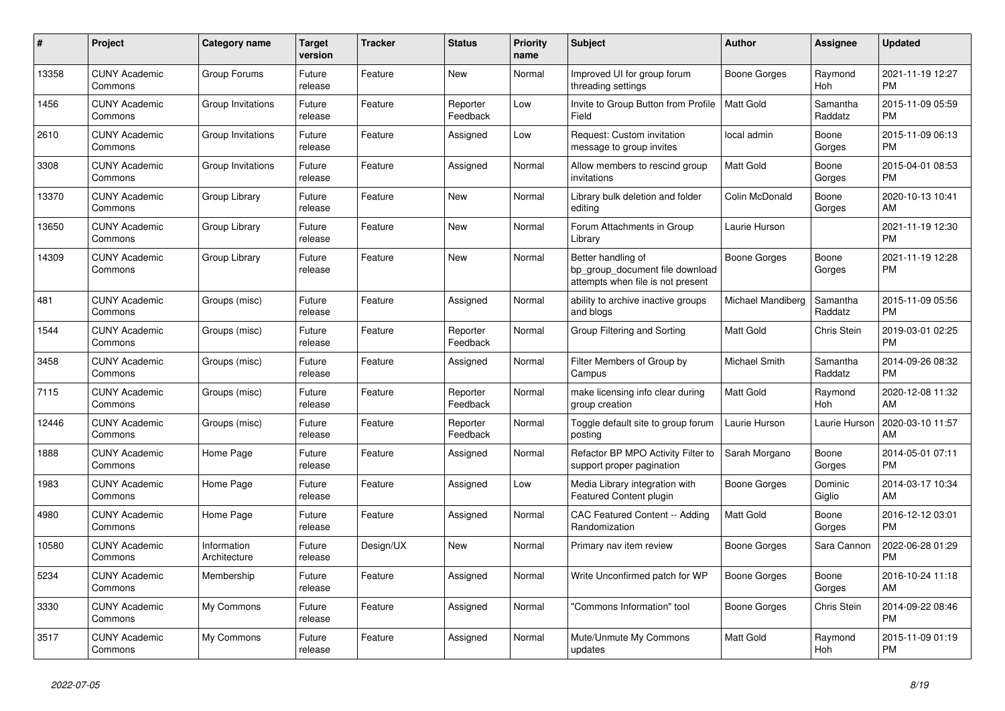| #     | Project                         | <b>Category name</b>        | Target<br>version | <b>Tracker</b> | <b>Status</b>        | Priority<br>name | <b>Subject</b>                                                                             | <b>Author</b>     | <b>Assignee</b>     | <b>Updated</b>                |
|-------|---------------------------------|-----------------------------|-------------------|----------------|----------------------|------------------|--------------------------------------------------------------------------------------------|-------------------|---------------------|-------------------------------|
| 13358 | <b>CUNY Academic</b><br>Commons | Group Forums                | Future<br>release | Feature        | New                  | Normal           | Improved UI for group forum<br>threading settings                                          | Boone Gorges      | Raymond<br>Hoh      | 2021-11-19 12:27<br><b>PM</b> |
| 1456  | <b>CUNY Academic</b><br>Commons | Group Invitations           | Future<br>release | Feature        | Reporter<br>Feedback | Low              | Invite to Group Button from Profile<br>Field                                               | Matt Gold         | Samantha<br>Raddatz | 2015-11-09 05:59<br><b>PM</b> |
| 2610  | <b>CUNY Academic</b><br>Commons | Group Invitations           | Future<br>release | Feature        | Assigned             | Low              | Request: Custom invitation<br>message to group invites                                     | local admin       | Boone<br>Gorges     | 2015-11-09 06:13<br><b>PM</b> |
| 3308  | <b>CUNY Academic</b><br>Commons | Group Invitations           | Future<br>release | Feature        | Assigned             | Normal           | Allow members to rescind group<br>invitations                                              | <b>Matt Gold</b>  | Boone<br>Gorges     | 2015-04-01 08:53<br><b>PM</b> |
| 13370 | <b>CUNY Academic</b><br>Commons | Group Library               | Future<br>release | Feature        | New                  | Normal           | Library bulk deletion and folder<br>editing                                                | Colin McDonald    | Boone<br>Gorges     | 2020-10-13 10:41<br>AM        |
| 13650 | <b>CUNY Academic</b><br>Commons | Group Library               | Future<br>release | Feature        | New                  | Normal           | Forum Attachments in Group<br>Library                                                      | Laurie Hurson     |                     | 2021-11-19 12:30<br><b>PM</b> |
| 14309 | <b>CUNY Academic</b><br>Commons | Group Library               | Future<br>release | Feature        | <b>New</b>           | Normal           | Better handling of<br>bp group document file download<br>attempts when file is not present | Boone Gorges      | Boone<br>Gorges     | 2021-11-19 12:28<br><b>PM</b> |
| 481   | <b>CUNY Academic</b><br>Commons | Groups (misc)               | Future<br>release | Feature        | Assigned             | Normal           | ability to archive inactive groups<br>and blogs                                            | Michael Mandiberg | Samantha<br>Raddatz | 2015-11-09 05:56<br><b>PM</b> |
| 1544  | <b>CUNY Academic</b><br>Commons | Groups (misc)               | Future<br>release | Feature        | Reporter<br>Feedback | Normal           | Group Filtering and Sorting                                                                | <b>Matt Gold</b>  | Chris Stein         | 2019-03-01 02:25<br><b>PM</b> |
| 3458  | <b>CUNY Academic</b><br>Commons | Groups (misc)               | Future<br>release | Feature        | Assigned             | Normal           | Filter Members of Group by<br>Campus                                                       | Michael Smith     | Samantha<br>Raddatz | 2014-09-26 08:32<br><b>PM</b> |
| 7115  | <b>CUNY Academic</b><br>Commons | Groups (misc)               | Future<br>release | Feature        | Reporter<br>Feedback | Normal           | make licensing info clear during<br>group creation                                         | Matt Gold         | Raymond<br>Hoh      | 2020-12-08 11:32<br>AM        |
| 12446 | <b>CUNY Academic</b><br>Commons | Groups (misc)               | Future<br>release | Feature        | Reporter<br>Feedback | Normal           | Toggle default site to group forum<br>posting                                              | Laurie Hurson     | Laurie Hurson       | 2020-03-10 11:57<br>AM        |
| 1888  | <b>CUNY Academic</b><br>Commons | Home Page                   | Future<br>release | Feature        | Assigned             | Normal           | Refactor BP MPO Activity Filter to<br>support proper pagination                            | Sarah Morgano     | Boone<br>Gorges     | 2014-05-01 07:11<br><b>PM</b> |
| 1983  | <b>CUNY Academic</b><br>Commons | Home Page                   | Future<br>release | Feature        | Assigned             | Low              | Media Library integration with<br><b>Featured Content plugin</b>                           | Boone Gorges      | Dominic<br>Giglio   | 2014-03-17 10:34<br>AM        |
| 4980  | <b>CUNY Academic</b><br>Commons | Home Page                   | Future<br>release | Feature        | Assigned             | Normal           | CAC Featured Content -- Adding<br>Randomization                                            | <b>Matt Gold</b>  | Boone<br>Gorges     | 2016-12-12 03:01<br><b>PM</b> |
| 10580 | <b>CUNY Academic</b><br>Commons | Information<br>Architecture | Future<br>release | Design/UX      | New                  | Normal           | Primary nav item review                                                                    | Boone Gorges      | Sara Cannon         | 2022-06-28 01:29<br><b>PM</b> |
| 5234  | <b>CUNY Academic</b><br>Commons | Membership                  | Future<br>release | Feature        | Assigned             | Normal           | Write Unconfirmed patch for WP                                                             | Boone Gorges      | Boone<br>Gorges     | 2016-10-24 11:18<br>AM        |
| 3330  | <b>CUNY Academic</b><br>Commons | My Commons                  | Future<br>release | Feature        | Assigned             | Normal           | "Commons Information" tool                                                                 | Boone Gorges      | Chris Stein         | 2014-09-22 08:46<br><b>PM</b> |
| 3517  | <b>CUNY Academic</b><br>Commons | My Commons                  | Future<br>release | Feature        | Assigned             | Normal           | Mute/Unmute My Commons<br>updates                                                          | <b>Matt Gold</b>  | Raymond<br>Hoh      | 2015-11-09 01:19<br><b>PM</b> |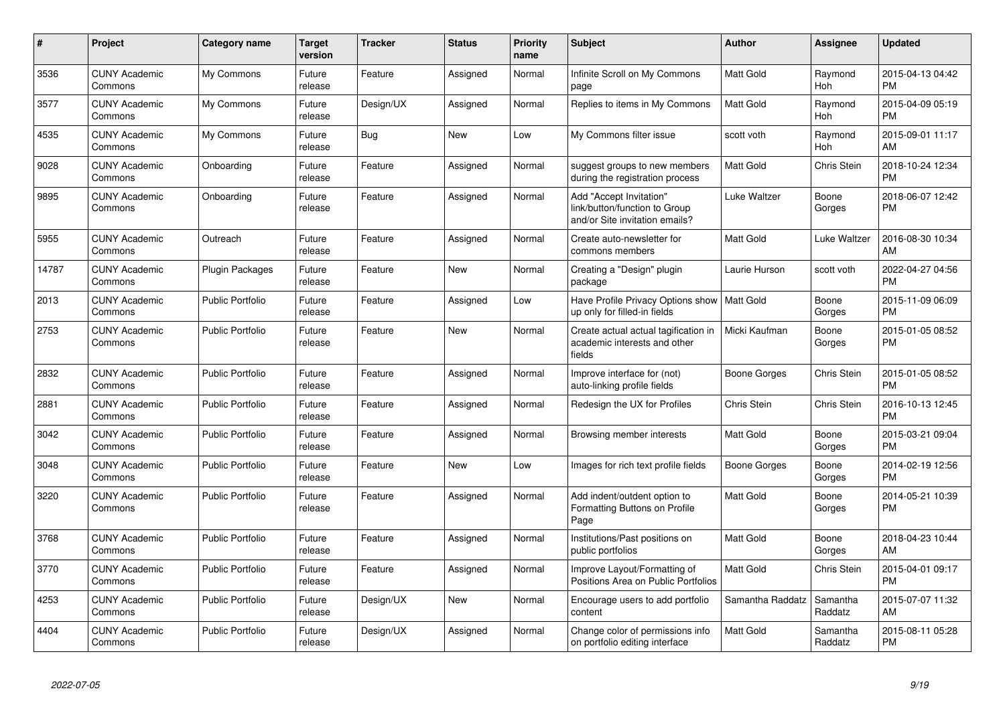| #     | <b>Project</b>                  | <b>Category name</b>    | <b>Target</b><br>version | <b>Tracker</b> | <b>Status</b> | <b>Priority</b><br>name | <b>Subject</b>                                                                             | <b>Author</b>    | Assignee              | <b>Updated</b>                |
|-------|---------------------------------|-------------------------|--------------------------|----------------|---------------|-------------------------|--------------------------------------------------------------------------------------------|------------------|-----------------------|-------------------------------|
| 3536  | <b>CUNY Academic</b><br>Commons | My Commons              | Future<br>release        | Feature        | Assigned      | Normal                  | Infinite Scroll on My Commons<br>page                                                      | Matt Gold        | Raymond<br>Hoh        | 2015-04-13 04:42<br><b>PM</b> |
| 3577  | <b>CUNY Academic</b><br>Commons | My Commons              | Future<br>release        | Design/UX      | Assigned      | Normal                  | Replies to items in My Commons                                                             | <b>Matt Gold</b> | Raymond<br><b>Hoh</b> | 2015-04-09 05:19<br><b>PM</b> |
| 4535  | <b>CUNY Academic</b><br>Commons | My Commons              | Future<br>release        | <b>Bug</b>     | New           | Low                     | My Commons filter issue                                                                    | scott voth       | Raymond<br>Hoh        | 2015-09-01 11:17<br>AM        |
| 9028  | <b>CUNY Academic</b><br>Commons | Onboarding              | Future<br>release        | Feature        | Assigned      | Normal                  | suggest groups to new members<br>during the registration process                           | Matt Gold        | Chris Stein           | 2018-10-24 12:34<br><b>PM</b> |
| 9895  | <b>CUNY Academic</b><br>Commons | Onboarding              | Future<br>release        | Feature        | Assigned      | Normal                  | Add "Accept Invitation"<br>link/button/function to Group<br>and/or Site invitation emails? | Luke Waltzer     | Boone<br>Gorges       | 2018-06-07 12:42<br>PM        |
| 5955  | <b>CUNY Academic</b><br>Commons | Outreach                | Future<br>release        | Feature        | Assigned      | Normal                  | Create auto-newsletter for<br>commons members                                              | Matt Gold        | Luke Waltzer          | 2016-08-30 10:34<br>AM        |
| 14787 | <b>CUNY Academic</b><br>Commons | Plugin Packages         | Future<br>release        | Feature        | <b>New</b>    | Normal                  | Creating a "Design" plugin<br>package                                                      | Laurie Hurson    | scott voth            | 2022-04-27 04:56<br><b>PM</b> |
| 2013  | <b>CUNY Academic</b><br>Commons | <b>Public Portfolio</b> | Future<br>release        | Feature        | Assigned      | Low                     | Have Profile Privacy Options show<br>up only for filled-in fields                          | Matt Gold        | Boone<br>Gorges       | 2015-11-09 06:09<br><b>PM</b> |
| 2753  | <b>CUNY Academic</b><br>Commons | <b>Public Portfolio</b> | Future<br>release        | Feature        | <b>New</b>    | Normal                  | Create actual actual tagification in<br>academic interests and other<br>fields             | Micki Kaufman    | Boone<br>Gorges       | 2015-01-05 08:52<br><b>PM</b> |
| 2832  | <b>CUNY Academic</b><br>Commons | <b>Public Portfolio</b> | Future<br>release        | Feature        | Assigned      | Normal                  | Improve interface for (not)<br>auto-linking profile fields                                 | Boone Gorges     | Chris Stein           | 2015-01-05 08:52<br><b>PM</b> |
| 2881  | <b>CUNY Academic</b><br>Commons | <b>Public Portfolio</b> | Future<br>release        | Feature        | Assigned      | Normal                  | Redesign the UX for Profiles                                                               | Chris Stein      | Chris Stein           | 2016-10-13 12:45<br><b>PM</b> |
| 3042  | <b>CUNY Academic</b><br>Commons | <b>Public Portfolio</b> | Future<br>release        | Feature        | Assigned      | Normal                  | Browsing member interests                                                                  | Matt Gold        | Boone<br>Gorges       | 2015-03-21 09:04<br><b>PM</b> |
| 3048  | <b>CUNY Academic</b><br>Commons | Public Portfolio        | Future<br>release        | Feature        | <b>New</b>    | Low                     | Images for rich text profile fields                                                        | Boone Gorges     | Boone<br>Gorges       | 2014-02-19 12:56<br><b>PM</b> |
| 3220  | <b>CUNY Academic</b><br>Commons | <b>Public Portfolio</b> | Future<br>release        | Feature        | Assigned      | Normal                  | Add indent/outdent option to<br>Formatting Buttons on Profile<br>Page                      | Matt Gold        | Boone<br>Gorges       | 2014-05-21 10:39<br><b>PM</b> |
| 3768  | <b>CUNY Academic</b><br>Commons | <b>Public Portfolio</b> | Future<br>release        | Feature        | Assigned      | Normal                  | Institutions/Past positions on<br>public portfolios                                        | Matt Gold        | Boone<br>Gorges       | 2018-04-23 10:44<br>AM        |
| 3770  | <b>CUNY Academic</b><br>Commons | <b>Public Portfolio</b> | Future<br>release        | Feature        | Assigned      | Normal                  | Improve Layout/Formatting of<br>Positions Area on Public Portfolios                        | Matt Gold        | Chris Stein           | 2015-04-01 09:17<br><b>PM</b> |
| 4253  | <b>CUNY Academic</b><br>Commons | <b>Public Portfolio</b> | Future<br>release        | Design/UX      | <b>New</b>    | Normal                  | Encourage users to add portfolio<br>content                                                | Samantha Raddatz | Samantha<br>Raddatz   | 2015-07-07 11:32<br>AM        |
| 4404  | <b>CUNY Academic</b><br>Commons | <b>Public Portfolio</b> | Future<br>release        | Design/UX      | Assigned      | Normal                  | Change color of permissions info<br>on portfolio editing interface                         | Matt Gold        | Samantha<br>Raddatz   | 2015-08-11 05:28<br><b>PM</b> |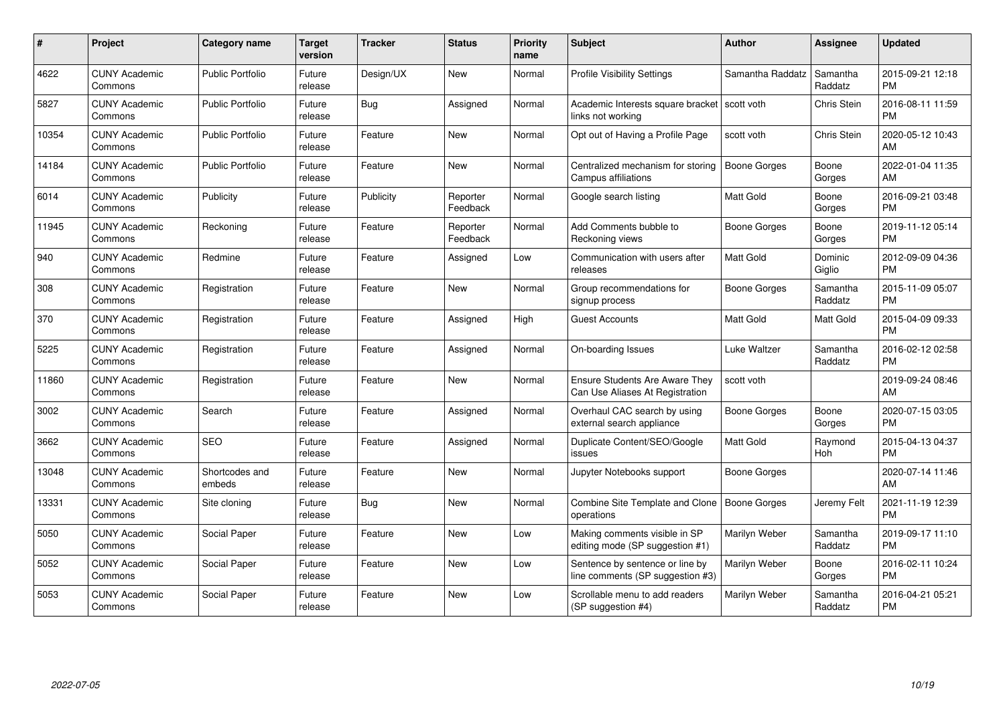| #     | <b>Project</b>                  | <b>Category name</b>     | Target<br>version | <b>Tracker</b> | <b>Status</b>        | Priority<br>name | <b>Subject</b>                                                           | <b>Author</b>       | Assignee            | <b>Updated</b>                |
|-------|---------------------------------|--------------------------|-------------------|----------------|----------------------|------------------|--------------------------------------------------------------------------|---------------------|---------------------|-------------------------------|
| 4622  | <b>CUNY Academic</b><br>Commons | <b>Public Portfolio</b>  | Future<br>release | Design/UX      | <b>New</b>           | Normal           | <b>Profile Visibility Settings</b>                                       | Samantha Raddatz    | Samantha<br>Raddatz | 2015-09-21 12:18<br><b>PM</b> |
| 5827  | <b>CUNY Academic</b><br>Commons | <b>Public Portfolio</b>  | Future<br>release | Bug            | Assigned             | Normal           | Academic Interests square bracket   scott voth<br>links not working      |                     | <b>Chris Stein</b>  | 2016-08-11 11:59<br><b>PM</b> |
| 10354 | <b>CUNY Academic</b><br>Commons | <b>Public Portfolio</b>  | Future<br>release | Feature        | New                  | Normal           | Opt out of Having a Profile Page                                         | scott voth          | Chris Stein         | 2020-05-12 10:43<br>AM        |
| 14184 | <b>CUNY Academic</b><br>Commons | <b>Public Portfolio</b>  | Future<br>release | Feature        | New                  | Normal           | Centralized mechanism for storing<br>Campus affiliations                 | <b>Boone Gorges</b> | Boone<br>Gorges     | 2022-01-04 11:35<br>AM        |
| 6014  | <b>CUNY Academic</b><br>Commons | Publicity                | Future<br>release | Publicity      | Reporter<br>Feedback | Normal           | Google search listing                                                    | <b>Matt Gold</b>    | Boone<br>Gorges     | 2016-09-21 03:48<br><b>PM</b> |
| 11945 | <b>CUNY Academic</b><br>Commons | Reckoning                | Future<br>release | Feature        | Reporter<br>Feedback | Normal           | Add Comments bubble to<br>Reckoning views                                | Boone Gorges        | Boone<br>Gorges     | 2019-11-12 05:14<br><b>PM</b> |
| 940   | <b>CUNY Academic</b><br>Commons | Redmine                  | Future<br>release | Feature        | Assigned             | Low              | Communication with users after<br>releases                               | <b>Matt Gold</b>    | Dominic<br>Giglio   | 2012-09-09 04:36<br><b>PM</b> |
| 308   | <b>CUNY Academic</b><br>Commons | Registration             | Future<br>release | Feature        | New                  | Normal           | Group recommendations for<br>signup process                              | Boone Gorges        | Samantha<br>Raddatz | 2015-11-09 05:07<br><b>PM</b> |
| 370   | <b>CUNY Academic</b><br>Commons | Registration             | Future<br>release | Feature        | Assigned             | High             | <b>Guest Accounts</b>                                                    | <b>Matt Gold</b>    | Matt Gold           | 2015-04-09 09:33<br><b>PM</b> |
| 5225  | <b>CUNY Academic</b><br>Commons | Registration             | Future<br>release | Feature        | Assigned             | Normal           | On-boarding Issues                                                       | Luke Waltzer        | Samantha<br>Raddatz | 2016-02-12 02:58<br><b>PM</b> |
| 11860 | <b>CUNY Academic</b><br>Commons | Registration             | Future<br>release | Feature        | New                  | Normal           | <b>Ensure Students Are Aware They</b><br>Can Use Aliases At Registration | scott voth          |                     | 2019-09-24 08:46<br>AM        |
| 3002  | <b>CUNY Academic</b><br>Commons | Search                   | Future<br>release | Feature        | Assigned             | Normal           | Overhaul CAC search by using<br>external search appliance                | Boone Gorges        | Boone<br>Gorges     | 2020-07-15 03:05<br><b>PM</b> |
| 3662  | <b>CUNY Academic</b><br>Commons | <b>SEO</b>               | Future<br>release | Feature        | Assigned             | Normal           | Duplicate Content/SEO/Google<br>issues                                   | <b>Matt Gold</b>    | Raymond<br>Hoh      | 2015-04-13 04:37<br><b>PM</b> |
| 13048 | <b>CUNY Academic</b><br>Commons | Shortcodes and<br>embeds | Future<br>release | Feature        | New                  | Normal           | Jupyter Notebooks support                                                | Boone Gorges        |                     | 2020-07-14 11:46<br>AM        |
| 13331 | <b>CUNY Academic</b><br>Commons | Site cloning             | Future<br>release | Bug            | <b>New</b>           | Normal           | Combine Site Template and Clone<br>operations                            | <b>Boone Gorges</b> | Jeremy Felt         | 2021-11-19 12:39<br><b>PM</b> |
| 5050  | <b>CUNY Academic</b><br>Commons | Social Paper             | Future<br>release | Feature        | <b>New</b>           | Low              | Making comments visible in SP<br>editing mode (SP suggestion #1)         | Marilyn Weber       | Samantha<br>Raddatz | 2019-09-17 11:10<br><b>PM</b> |
| 5052  | CUNY Academic<br>Commons        | Social Paper             | Future<br>release | Feature        | New                  | Low              | Sentence by sentence or line by<br>line comments (SP suggestion #3)      | Marilyn Weber       | Boone<br>Gorges     | 2016-02-11 10:24<br><b>PM</b> |
| 5053  | <b>CUNY Academic</b><br>Commons | Social Paper             | Future<br>release | Feature        | <b>New</b>           | Low              | Scrollable menu to add readers<br>(SP suggestion #4)                     | Marilyn Weber       | Samantha<br>Raddatz | 2016-04-21 05:21<br><b>PM</b> |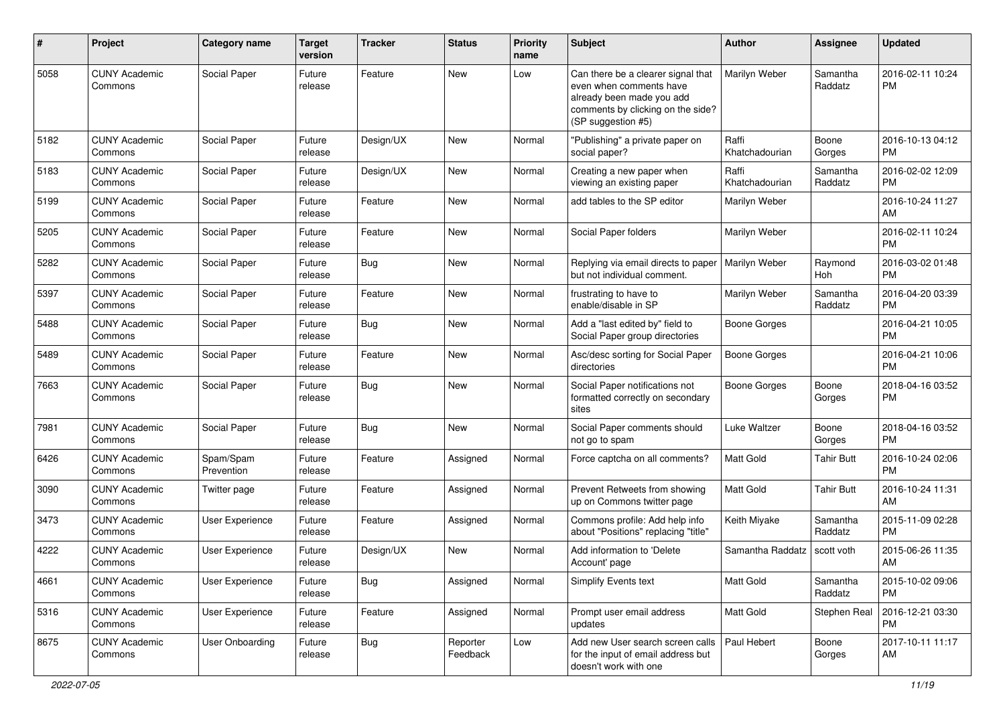| #    | Project                         | Category name           | <b>Target</b><br>version | <b>Tracker</b> | <b>Status</b>        | <b>Priority</b><br>name | <b>Subject</b>                                                                                                                                        | Author                  | <b>Assignee</b>     | <b>Updated</b>                |
|------|---------------------------------|-------------------------|--------------------------|----------------|----------------------|-------------------------|-------------------------------------------------------------------------------------------------------------------------------------------------------|-------------------------|---------------------|-------------------------------|
| 5058 | <b>CUNY Academic</b><br>Commons | Social Paper            | Future<br>release        | Feature        | <b>New</b>           | Low                     | Can there be a clearer signal that<br>even when comments have<br>already been made you add<br>comments by clicking on the side?<br>(SP suggestion #5) | Marilyn Weber           | Samantha<br>Raddatz | 2016-02-11 10:24<br><b>PM</b> |
| 5182 | <b>CUNY Academic</b><br>Commons | Social Paper            | Future<br>release        | Design/UX      | New                  | Normal                  | "Publishing" a private paper on<br>social paper?                                                                                                      | Raffi<br>Khatchadourian | Boone<br>Gorges     | 2016-10-13 04:12<br><b>PM</b> |
| 5183 | <b>CUNY Academic</b><br>Commons | Social Paper            | Future<br>release        | Design/UX      | <b>New</b>           | Normal                  | Creating a new paper when<br>viewing an existing paper                                                                                                | Raffi<br>Khatchadourian | Samantha<br>Raddatz | 2016-02-02 12:09<br><b>PM</b> |
| 5199 | <b>CUNY Academic</b><br>Commons | Social Paper            | Future<br>release        | Feature        | <b>New</b>           | Normal                  | add tables to the SP editor                                                                                                                           | Marilyn Weber           |                     | 2016-10-24 11:27<br>AM        |
| 5205 | <b>CUNY Academic</b><br>Commons | Social Paper            | Future<br>release        | Feature        | <b>New</b>           | Normal                  | Social Paper folders                                                                                                                                  | Marilyn Weber           |                     | 2016-02-11 10:24<br><b>PM</b> |
| 5282 | <b>CUNY Academic</b><br>Commons | Social Paper            | Future<br>release        | Bug            | <b>New</b>           | Normal                  | Replying via email directs to paper<br>but not individual comment.                                                                                    | Marilyn Weber           | Raymond<br>Hoh      | 2016-03-02 01:48<br><b>PM</b> |
| 5397 | <b>CUNY Academic</b><br>Commons | Social Paper            | Future<br>release        | Feature        | <b>New</b>           | Normal                  | frustrating to have to<br>enable/disable in SP                                                                                                        | Marilyn Weber           | Samantha<br>Raddatz | 2016-04-20 03:39<br><b>PM</b> |
| 5488 | <b>CUNY Academic</b><br>Commons | Social Paper            | Future<br>release        | Bug            | <b>New</b>           | Normal                  | Add a "last edited by" field to<br>Social Paper group directories                                                                                     | <b>Boone Gorges</b>     |                     | 2016-04-21 10:05<br><b>PM</b> |
| 5489 | <b>CUNY Academic</b><br>Commons | Social Paper            | Future<br>release        | Feature        | New                  | Normal                  | Asc/desc sorting for Social Paper<br>directories                                                                                                      | <b>Boone Gorges</b>     |                     | 2016-04-21 10:06<br><b>PM</b> |
| 7663 | <b>CUNY Academic</b><br>Commons | Social Paper            | Future<br>release        | Bug            | <b>New</b>           | Normal                  | Social Paper notifications not<br>formatted correctly on secondary<br>sites                                                                           | <b>Boone Gorges</b>     | Boone<br>Gorges     | 2018-04-16 03:52<br><b>PM</b> |
| 7981 | <b>CUNY Academic</b><br>Commons | Social Paper            | Future<br>release        | Bug            | <b>New</b>           | Normal                  | Social Paper comments should<br>not go to spam                                                                                                        | Luke Waltzer            | Boone<br>Gorges     | 2018-04-16 03:52<br><b>PM</b> |
| 6426 | <b>CUNY Academic</b><br>Commons | Spam/Spam<br>Prevention | Future<br>release        | Feature        | Assigned             | Normal                  | Force captcha on all comments?                                                                                                                        | <b>Matt Gold</b>        | Tahir Butt          | 2016-10-24 02:06<br><b>PM</b> |
| 3090 | <b>CUNY Academic</b><br>Commons | Twitter page            | Future<br>release        | Feature        | Assigned             | Normal                  | Prevent Retweets from showing<br>up on Commons twitter page                                                                                           | <b>Matt Gold</b>        | <b>Tahir Butt</b>   | 2016-10-24 11:31<br>AM        |
| 3473 | <b>CUNY Academic</b><br>Commons | <b>User Experience</b>  | Future<br>release        | Feature        | Assigned             | Normal                  | Commons profile: Add help info<br>about "Positions" replacing "title"                                                                                 | Keith Miyake            | Samantha<br>Raddatz | 2015-11-09 02:28<br>PM        |
| 4222 | <b>CUNY Academic</b><br>Commons | <b>User Experience</b>  | Future<br>release        | Design/UX      | <b>New</b>           | Normal                  | Add information to 'Delete<br>Account' page                                                                                                           | Samantha Raddatz        | scott voth          | 2015-06-26 11:35<br>AM        |
| 4661 | <b>CUNY Academic</b><br>Commons | User Experience         | Future<br>release        | Bug            | Assigned             | Normal                  | Simplify Events text                                                                                                                                  | Matt Gold               | Samantha<br>Raddatz | 2015-10-02 09:06<br><b>PM</b> |
| 5316 | <b>CUNY Academic</b><br>Commons | User Experience         | Future<br>release        | Feature        | Assigned             | Normal                  | Prompt user email address<br>updates                                                                                                                  | Matt Gold               | Stephen Real        | 2016-12-21 03:30<br><b>PM</b> |
| 8675 | <b>CUNY Academic</b><br>Commons | <b>User Onboarding</b>  | Future<br>release        | Bug            | Reporter<br>Feedback | Low                     | Add new User search screen calls<br>for the input of email address but<br>doesn't work with one                                                       | Paul Hebert             | Boone<br>Gorges     | 2017-10-11 11:17<br>AM        |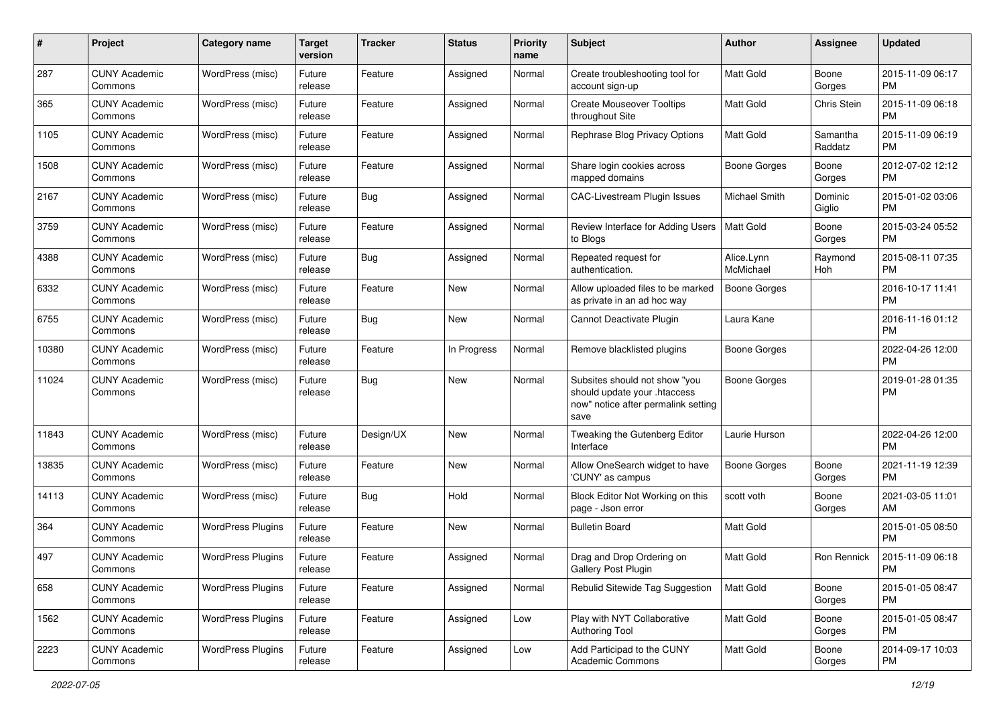| #     | Project                         | <b>Category name</b>     | <b>Target</b><br>version | <b>Tracker</b> | <b>Status</b> | <b>Priority</b><br>name | Subject                                                                                                      | Author                  | Assignee            | <b>Updated</b>                |
|-------|---------------------------------|--------------------------|--------------------------|----------------|---------------|-------------------------|--------------------------------------------------------------------------------------------------------------|-------------------------|---------------------|-------------------------------|
| 287   | <b>CUNY Academic</b><br>Commons | WordPress (misc)         | Future<br>release        | Feature        | Assigned      | Normal                  | Create troubleshooting tool for<br>account sign-up                                                           | <b>Matt Gold</b>        | Boone<br>Gorges     | 2015-11-09 06:17<br><b>PM</b> |
| 365   | <b>CUNY Academic</b><br>Commons | WordPress (misc)         | Future<br>release        | Feature        | Assigned      | Normal                  | <b>Create Mouseover Tooltips</b><br>throughout Site                                                          | Matt Gold               | Chris Stein         | 2015-11-09 06:18<br><b>PM</b> |
| 1105  | CUNY Academic<br>Commons        | WordPress (misc)         | Future<br>release        | Feature        | Assigned      | Normal                  | Rephrase Blog Privacy Options                                                                                | Matt Gold               | Samantha<br>Raddatz | 2015-11-09 06:19<br><b>PM</b> |
| 1508  | <b>CUNY Academic</b><br>Commons | WordPress (misc)         | Future<br>release        | Feature        | Assigned      | Normal                  | Share login cookies across<br>mapped domains                                                                 | Boone Gorges            | Boone<br>Gorges     | 2012-07-02 12:12<br><b>PM</b> |
| 2167  | <b>CUNY Academic</b><br>Commons | WordPress (misc)         | Future<br>release        | Bug            | Assigned      | Normal                  | CAC-Livestream Plugin Issues                                                                                 | Michael Smith           | Dominic<br>Giglio   | 2015-01-02 03:06<br><b>PM</b> |
| 3759  | <b>CUNY Academic</b><br>Commons | WordPress (misc)         | Future<br>release        | Feature        | Assigned      | Normal                  | Review Interface for Adding Users<br>to Blogs                                                                | Matt Gold               | Boone<br>Gorges     | 2015-03-24 05:52<br><b>PM</b> |
| 4388  | <b>CUNY Academic</b><br>Commons | WordPress (misc)         | Future<br>release        | Bug            | Assigned      | Normal                  | Repeated request for<br>authentication.                                                                      | Alice.Lynn<br>McMichael | Raymond<br>Hoh      | 2015-08-11 07:35<br><b>PM</b> |
| 6332  | <b>CUNY Academic</b><br>Commons | WordPress (misc)         | Future<br>release        | Feature        | New           | Normal                  | Allow uploaded files to be marked<br>as private in an ad hoc way                                             | <b>Boone Gorges</b>     |                     | 2016-10-17 11:41<br><b>PM</b> |
| 6755  | <b>CUNY Academic</b><br>Commons | WordPress (misc)         | Future<br>release        | Bug            | New           | Normal                  | Cannot Deactivate Plugin                                                                                     | Laura Kane              |                     | 2016-11-16 01:12<br><b>PM</b> |
| 10380 | CUNY Academic<br>Commons        | WordPress (misc)         | Future<br>release        | Feature        | In Progress   | Normal                  | Remove blacklisted plugins                                                                                   | Boone Gorges            |                     | 2022-04-26 12:00<br><b>PM</b> |
| 11024 | <b>CUNY Academic</b><br>Commons | WordPress (misc)         | Future<br>release        | Bug            | New           | Normal                  | Subsites should not show "you<br>should update your .htaccess<br>now" notice after permalink setting<br>save | Boone Gorges            |                     | 2019-01-28 01:35<br><b>PM</b> |
| 11843 | <b>CUNY Academic</b><br>Commons | WordPress (misc)         | Future<br>release        | Design/UX      | New           | Normal                  | Tweaking the Gutenberg Editor<br>Interface                                                                   | Laurie Hurson           |                     | 2022-04-26 12:00<br><b>PM</b> |
| 13835 | <b>CUNY Academic</b><br>Commons | WordPress (misc)         | Future<br>release        | Feature        | <b>New</b>    | Normal                  | Allow OneSearch widget to have<br>'CUNY' as campus                                                           | Boone Gorges            | Boone<br>Gorges     | 2021-11-19 12:39<br><b>PM</b> |
| 14113 | <b>CUNY Academic</b><br>Commons | WordPress (misc)         | Future<br>release        | Bug            | Hold          | Normal                  | Block Editor Not Working on this<br>page - Json error                                                        | scott voth              | Boone<br>Gorges     | 2021-03-05 11:01<br>AM        |
| 364   | <b>CUNY Academic</b><br>Commons | <b>WordPress Plugins</b> | Future<br>release        | Feature        | New           | Normal                  | <b>Bulletin Board</b>                                                                                        | Matt Gold               |                     | 2015-01-05 08:50<br><b>PM</b> |
| 497   | <b>CUNY Academic</b><br>Commons | <b>WordPress Plugins</b> | Future<br>release        | Feature        | Assigned      | Normal                  | Drag and Drop Ordering on<br>Gallery Post Plugin                                                             | Matt Gold               | Ron Rennick         | 2015-11-09 06:18<br>PM        |
| 658   | <b>CUNY Academic</b><br>Commons | <b>WordPress Plugins</b> | Future<br>release        | Feature        | Assigned      | Normal                  | Rebulid Sitewide Tag Suggestion                                                                              | <b>Matt Gold</b>        | Boone<br>Gorges     | 2015-01-05 08:47<br>PM        |
| 1562  | <b>CUNY Academic</b><br>Commons | <b>WordPress Plugins</b> | Future<br>release        | Feature        | Assigned      | Low                     | Play with NYT Collaborative<br><b>Authoring Tool</b>                                                         | Matt Gold               | Boone<br>Gorges     | 2015-01-05 08:47<br><b>PM</b> |
| 2223  | <b>CUNY Academic</b><br>Commons | <b>WordPress Plugins</b> | Future<br>release        | Feature        | Assigned      | Low                     | Add Participad to the CUNY<br>Academic Commons                                                               | Matt Gold               | Boone<br>Gorges     | 2014-09-17 10:03<br><b>PM</b> |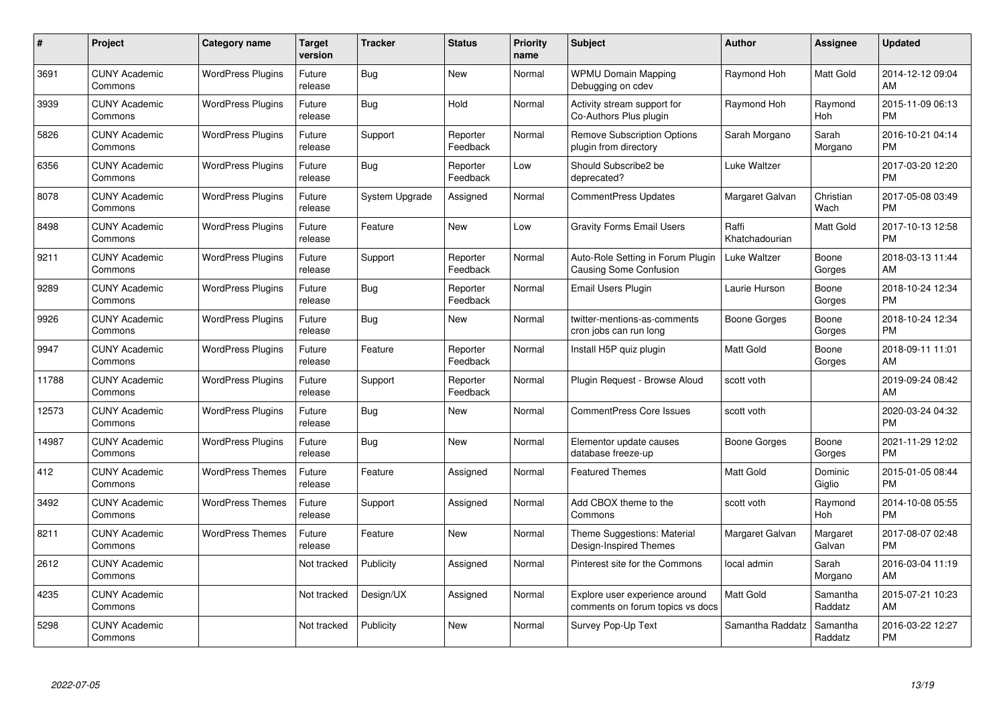| #     | Project                         | <b>Category name</b>     | Target<br>version | <b>Tracker</b> | <b>Status</b>        | Priority<br>name | <b>Subject</b>                                                     | <b>Author</b>           | <b>Assignee</b>     | <b>Updated</b>                |
|-------|---------------------------------|--------------------------|-------------------|----------------|----------------------|------------------|--------------------------------------------------------------------|-------------------------|---------------------|-------------------------------|
| 3691  | <b>CUNY Academic</b><br>Commons | <b>WordPress Plugins</b> | Future<br>release | Bug            | <b>New</b>           | Normal           | <b>WPMU Domain Mapping</b><br>Debugging on cdev                    | Raymond Hoh             | Matt Gold           | 2014-12-12 09:04<br>AM        |
| 3939  | <b>CUNY Academic</b><br>Commons | <b>WordPress Plugins</b> | Future<br>release | Bug            | Hold                 | Normal           | Activity stream support for<br>Co-Authors Plus plugin              | Raymond Hoh             | Raymond<br>Hoh      | 2015-11-09 06:13<br><b>PM</b> |
| 5826  | <b>CUNY Academic</b><br>Commons | <b>WordPress Plugins</b> | Future<br>release | Support        | Reporter<br>Feedback | Normal           | <b>Remove Subscription Options</b><br>plugin from directory        | Sarah Morgano           | Sarah<br>Morgano    | 2016-10-21 04:14<br><b>PM</b> |
| 6356  | <b>CUNY Academic</b><br>Commons | <b>WordPress Plugins</b> | Future<br>release | Bug            | Reporter<br>Feedback | Low              | Should Subscribe2 be<br>deprecated?                                | Luke Waltzer            |                     | 2017-03-20 12:20<br><b>PM</b> |
| 8078  | <b>CUNY Academic</b><br>Commons | <b>WordPress Plugins</b> | Future<br>release | System Upgrade | Assigned             | Normal           | <b>CommentPress Updates</b>                                        | Margaret Galvan         | Christian<br>Wach   | 2017-05-08 03:49<br><b>PM</b> |
| 8498  | <b>CUNY Academic</b><br>Commons | <b>WordPress Plugins</b> | Future<br>release | Feature        | <b>New</b>           | Low              | <b>Gravity Forms Email Users</b>                                   | Raffi<br>Khatchadourian | Matt Gold           | 2017-10-13 12:58<br><b>PM</b> |
| 9211  | <b>CUNY Academic</b><br>Commons | <b>WordPress Plugins</b> | Future<br>release | Support        | Reporter<br>Feedback | Normal           | Auto-Role Setting in Forum Plugin<br><b>Causing Some Confusion</b> | Luke Waltzer            | Boone<br>Gorges     | 2018-03-13 11:44<br>AM        |
| 9289  | <b>CUNY Academic</b><br>Commons | <b>WordPress Plugins</b> | Future<br>release | Bug            | Reporter<br>Feedback | Normal           | <b>Email Users Plugin</b>                                          | Laurie Hurson           | Boone<br>Gorges     | 2018-10-24 12:34<br><b>PM</b> |
| 9926  | <b>CUNY Academic</b><br>Commons | <b>WordPress Plugins</b> | Future<br>release | Bug            | New                  | Normal           | twitter-mentions-as-comments<br>cron jobs can run long             | Boone Gorges            | Boone<br>Gorges     | 2018-10-24 12:34<br><b>PM</b> |
| 9947  | <b>CUNY Academic</b><br>Commons | <b>WordPress Plugins</b> | Future<br>release | Feature        | Reporter<br>Feedback | Normal           | Install H5P quiz plugin                                            | <b>Matt Gold</b>        | Boone<br>Gorges     | 2018-09-11 11:01<br>AM.       |
| 11788 | <b>CUNY Academic</b><br>Commons | <b>WordPress Plugins</b> | Future<br>release | Support        | Reporter<br>Feedback | Normal           | Plugin Request - Browse Aloud                                      | scott voth              |                     | 2019-09-24 08:42<br>AM        |
| 12573 | <b>CUNY Academic</b><br>Commons | <b>WordPress Plugins</b> | Future<br>release | Bug            | New                  | Normal           | <b>CommentPress Core Issues</b>                                    | scott voth              |                     | 2020-03-24 04:32<br><b>PM</b> |
| 14987 | <b>CUNY Academic</b><br>Commons | <b>WordPress Plugins</b> | Future<br>release | Bug            | New                  | Normal           | Elementor update causes<br>database freeze-up                      | Boone Gorges            | Boone<br>Gorges     | 2021-11-29 12:02<br><b>PM</b> |
| 412   | <b>CUNY Academic</b><br>Commons | <b>WordPress Themes</b>  | Future<br>release | Feature        | Assigned             | Normal           | <b>Featured Themes</b>                                             | <b>Matt Gold</b>        | Dominic<br>Giglio   | 2015-01-05 08:44<br><b>PM</b> |
| 3492  | <b>CUNY Academic</b><br>Commons | <b>WordPress Themes</b>  | Future<br>release | Support        | Assigned             | Normal           | Add CBOX theme to the<br>Commons                                   | scott voth              | Raymond<br>Hoh      | 2014-10-08 05:55<br><b>PM</b> |
| 8211  | <b>CUNY Academic</b><br>Commons | <b>WordPress Themes</b>  | Future<br>release | Feature        | New                  | Normal           | Theme Suggestions: Material<br>Design-Inspired Themes              | Margaret Galvan         | Margaret<br>Galvan  | 2017-08-07 02:48<br><b>PM</b> |
| 2612  | <b>CUNY Academic</b><br>Commons |                          | Not tracked       | Publicity      | Assigned             | Normal           | Pinterest site for the Commons                                     | local admin             | Sarah<br>Morgano    | 2016-03-04 11:19<br>AM.       |
| 4235  | <b>CUNY Academic</b><br>Commons |                          | Not tracked       | Design/UX      | Assigned             | Normal           | Explore user experience around<br>comments on forum topics vs docs | <b>Matt Gold</b>        | Samantha<br>Raddatz | 2015-07-21 10:23<br>AM        |
| 5298  | <b>CUNY Academic</b><br>Commons |                          | Not tracked       | Publicity      | <b>New</b>           | Normal           | Survey Pop-Up Text                                                 | Samantha Raddatz        | Samantha<br>Raddatz | 2016-03-22 12:27<br>PM        |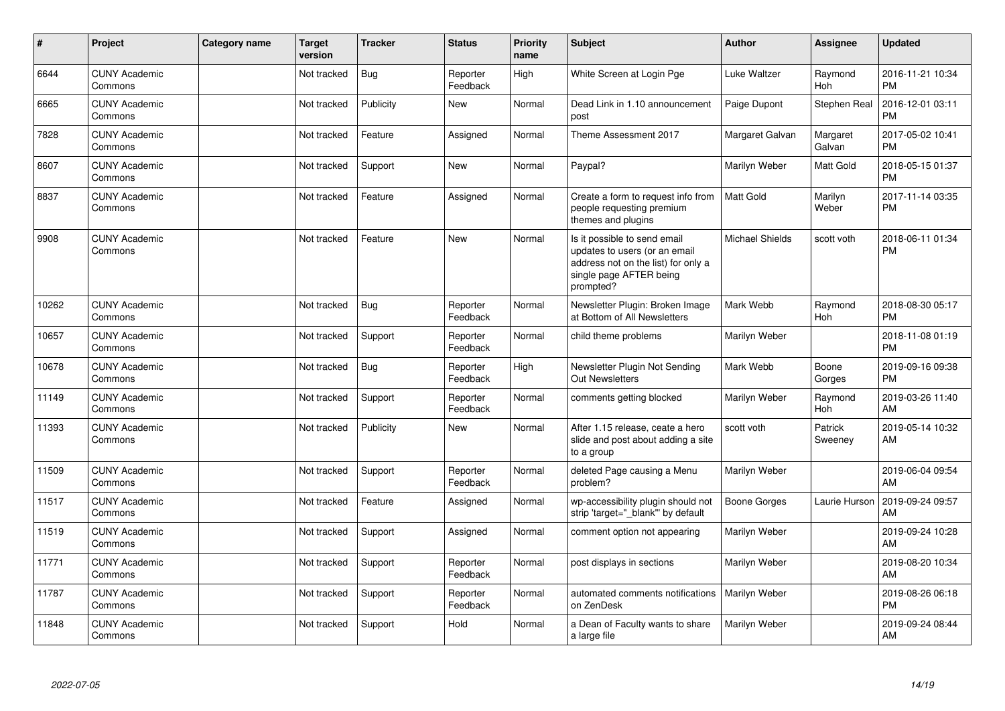| ∦     | Project                         | Category name | <b>Target</b><br>version | <b>Tracker</b> | <b>Status</b>        | <b>Priority</b><br>name | <b>Subject</b>                                                                                                                               | <b>Author</b>          | <b>Assignee</b>    | <b>Updated</b>                |
|-------|---------------------------------|---------------|--------------------------|----------------|----------------------|-------------------------|----------------------------------------------------------------------------------------------------------------------------------------------|------------------------|--------------------|-------------------------------|
| 6644  | <b>CUNY Academic</b><br>Commons |               | Not tracked              | Bug            | Reporter<br>Feedback | High                    | White Screen at Login Pge                                                                                                                    | Luke Waltzer           | Raymond<br>Hoh     | 2016-11-21 10:34<br><b>PM</b> |
| 6665  | <b>CUNY Academic</b><br>Commons |               | Not tracked              | Publicity      | <b>New</b>           | Normal                  | Dead Link in 1.10 announcement<br>post                                                                                                       | Paige Dupont           | Stephen Real       | 2016-12-01 03:11<br><b>PM</b> |
| 7828  | <b>CUNY Academic</b><br>Commons |               | Not tracked              | Feature        | Assigned             | Normal                  | Theme Assessment 2017                                                                                                                        | Margaret Galvan        | Margaret<br>Galvan | 2017-05-02 10:41<br><b>PM</b> |
| 8607  | <b>CUNY Academic</b><br>Commons |               | Not tracked              | Support        | <b>New</b>           | Normal                  | Paypal?                                                                                                                                      | Marilyn Weber          | Matt Gold          | 2018-05-15 01:37<br><b>PM</b> |
| 8837  | <b>CUNY Academic</b><br>Commons |               | Not tracked              | Feature        | Assigned             | Normal                  | Create a form to request info from<br>people requesting premium<br>themes and plugins                                                        | Matt Gold              | Marilyn<br>Weber   | 2017-11-14 03:35<br><b>PM</b> |
| 9908  | <b>CUNY Academic</b><br>Commons |               | Not tracked              | Feature        | <b>New</b>           | Normal                  | Is it possible to send email<br>updates to users (or an email<br>address not on the list) for only a<br>single page AFTER being<br>prompted? | <b>Michael Shields</b> | scott voth         | 2018-06-11 01:34<br><b>PM</b> |
| 10262 | <b>CUNY Academic</b><br>Commons |               | Not tracked              | <b>Bug</b>     | Reporter<br>Feedback | Normal                  | Newsletter Plugin: Broken Image<br>at Bottom of All Newsletters                                                                              | Mark Webb              | Raymond<br>Hoh     | 2018-08-30 05:17<br><b>PM</b> |
| 10657 | <b>CUNY Academic</b><br>Commons |               | Not tracked              | Support        | Reporter<br>Feedback | Normal                  | child theme problems                                                                                                                         | Marilyn Weber          |                    | 2018-11-08 01:19<br><b>PM</b> |
| 10678 | <b>CUNY Academic</b><br>Commons |               | Not tracked              | Bug            | Reporter<br>Feedback | High                    | Newsletter Plugin Not Sending<br>Out Newsletters                                                                                             | Mark Webb              | Boone<br>Gorges    | 2019-09-16 09:38<br><b>PM</b> |
| 11149 | <b>CUNY Academic</b><br>Commons |               | Not tracked              | Support        | Reporter<br>Feedback | Normal                  | comments getting blocked                                                                                                                     | Marilyn Weber          | Raymond<br>Hoh     | 2019-03-26 11:40<br>AM        |
| 11393 | <b>CUNY Academic</b><br>Commons |               | Not tracked              | Publicity      | New                  | Normal                  | After 1.15 release, ceate a hero<br>slide and post about adding a site<br>to a group                                                         | scott voth             | Patrick<br>Sweeney | 2019-05-14 10:32<br>AM        |
| 11509 | <b>CUNY Academic</b><br>Commons |               | Not tracked              | Support        | Reporter<br>Feedback | Normal                  | deleted Page causing a Menu<br>problem?                                                                                                      | Marilyn Weber          |                    | 2019-06-04 09:54<br>AM        |
| 11517 | <b>CUNY Academic</b><br>Commons |               | Not tracked              | Feature        | Assigned             | Normal                  | wp-accessibility plugin should not<br>strip 'target=" blank" by default                                                                      | Boone Gorges           | Laurie Hurson      | 2019-09-24 09:57<br>AM        |
| 11519 | <b>CUNY Academic</b><br>Commons |               | Not tracked              | Support        | Assigned             | Normal                  | comment option not appearing                                                                                                                 | Marilyn Weber          |                    | 2019-09-24 10:28<br>AM        |
| 11771 | <b>CUNY Academic</b><br>Commons |               | Not tracked              | Support        | Reporter<br>Feedback | Normal                  | post displays in sections                                                                                                                    | Marilyn Weber          |                    | 2019-08-20 10:34<br>AM        |
| 11787 | <b>CUNY Academic</b><br>Commons |               | Not tracked              | Support        | Reporter<br>Feedback | Normal                  | automated comments notifications<br>on ZenDesk                                                                                               | Marilyn Weber          |                    | 2019-08-26 06:18<br><b>PM</b> |
| 11848 | <b>CUNY Academic</b><br>Commons |               | Not tracked              | Support        | Hold                 | Normal                  | a Dean of Faculty wants to share<br>a large file                                                                                             | Marilyn Weber          |                    | 2019-09-24 08:44<br>AM        |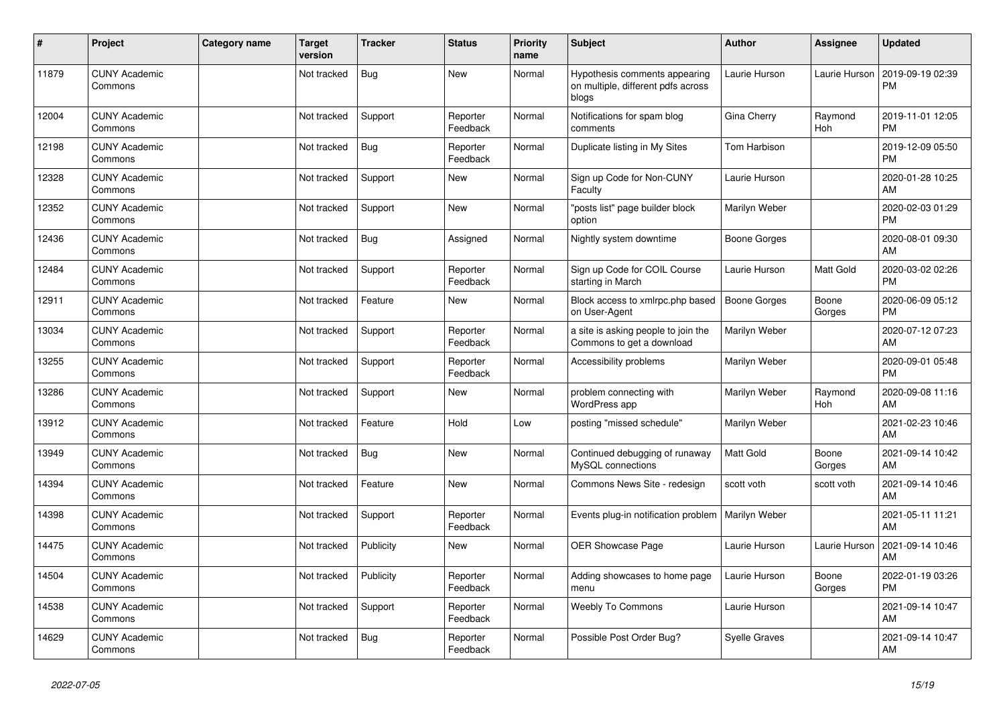| #     | Project                         | Category name | <b>Target</b><br>version | <b>Tracker</b> | <b>Status</b>        | <b>Priority</b><br>name | <b>Subject</b>                                                               | Author               | Assignee        | <b>Updated</b>                |
|-------|---------------------------------|---------------|--------------------------|----------------|----------------------|-------------------------|------------------------------------------------------------------------------|----------------------|-----------------|-------------------------------|
| 11879 | <b>CUNY Academic</b><br>Commons |               | Not tracked              | Bug            | <b>New</b>           | Normal                  | Hypothesis comments appearing<br>on multiple, different pdfs across<br>blogs | Laurie Hurson        | Laurie Hurson   | 2019-09-19 02:39<br><b>PM</b> |
| 12004 | <b>CUNY Academic</b><br>Commons |               | Not tracked              | Support        | Reporter<br>Feedback | Normal                  | Notifications for spam blog<br>comments                                      | Gina Cherry          | Raymond<br>Hoh  | 2019-11-01 12:05<br><b>PM</b> |
| 12198 | <b>CUNY Academic</b><br>Commons |               | Not tracked              | Bug            | Reporter<br>Feedback | Normal                  | Duplicate listing in My Sites                                                | Tom Harbison         |                 | 2019-12-09 05:50<br><b>PM</b> |
| 12328 | <b>CUNY Academic</b><br>Commons |               | Not tracked              | Support        | <b>New</b>           | Normal                  | Sign up Code for Non-CUNY<br>Faculty                                         | Laurie Hurson        |                 | 2020-01-28 10:25<br>AM        |
| 12352 | <b>CUNY Academic</b><br>Commons |               | Not tracked              | Support        | <b>New</b>           | Normal                  | "posts list" page builder block<br>option                                    | Marilyn Weber        |                 | 2020-02-03 01:29<br><b>PM</b> |
| 12436 | <b>CUNY Academic</b><br>Commons |               | Not tracked              | Bug            | Assigned             | Normal                  | Nightly system downtime                                                      | Boone Gorges         |                 | 2020-08-01 09:30<br>AM        |
| 12484 | <b>CUNY Academic</b><br>Commons |               | Not tracked              | Support        | Reporter<br>Feedback | Normal                  | Sign up Code for COIL Course<br>starting in March                            | Laurie Hurson        | Matt Gold       | 2020-03-02 02:26<br><b>PM</b> |
| 12911 | <b>CUNY Academic</b><br>Commons |               | Not tracked              | Feature        | <b>New</b>           | Normal                  | Block access to xmlrpc.php based<br>on User-Agent                            | Boone Gorges         | Boone<br>Gorges | 2020-06-09 05:12<br><b>PM</b> |
| 13034 | <b>CUNY Academic</b><br>Commons |               | Not tracked              | Support        | Reporter<br>Feedback | Normal                  | a site is asking people to join the<br>Commons to get a download             | Marilyn Weber        |                 | 2020-07-12 07:23<br>AM        |
| 13255 | <b>CUNY Academic</b><br>Commons |               | Not tracked              | Support        | Reporter<br>Feedback | Normal                  | Accessibility problems                                                       | Marilyn Weber        |                 | 2020-09-01 05:48<br><b>PM</b> |
| 13286 | <b>CUNY Academic</b><br>Commons |               | Not tracked              | Support        | <b>New</b>           | Normal                  | problem connecting with<br>WordPress app                                     | Marilyn Weber        | Raymond<br>Hoh  | 2020-09-08 11:16<br>AM        |
| 13912 | <b>CUNY Academic</b><br>Commons |               | Not tracked              | Feature        | Hold                 | Low                     | posting "missed schedule"                                                    | Marilyn Weber        |                 | 2021-02-23 10:46<br>AM        |
| 13949 | <b>CUNY Academic</b><br>Commons |               | Not tracked              | Bug            | <b>New</b>           | Normal                  | Continued debugging of runaway<br>MySQL connections                          | <b>Matt Gold</b>     | Boone<br>Gorges | 2021-09-14 10:42<br>AM        |
| 14394 | <b>CUNY Academic</b><br>Commons |               | Not tracked              | Feature        | <b>New</b>           | Normal                  | Commons News Site - redesign                                                 | scott voth           | scott voth      | 2021-09-14 10:46<br>AM        |
| 14398 | <b>CUNY Academic</b><br>Commons |               | Not tracked              | Support        | Reporter<br>Feedback | Normal                  | Events plug-in notification problem                                          | Marilyn Weber        |                 | 2021-05-11 11:21<br>AM        |
| 14475 | <b>CUNY Academic</b><br>Commons |               | Not tracked              | Publicity      | <b>New</b>           | Normal                  | <b>OER Showcase Page</b>                                                     | Laurie Hurson        | Laurie Hurson   | 2021-09-14 10:46<br>AM        |
| 14504 | <b>CUNY Academic</b><br>Commons |               | Not tracked              | Publicity      | Reporter<br>Feedback | Normal                  | Adding showcases to home page<br>menu                                        | Laurie Hurson        | Boone<br>Gorges | 2022-01-19 03:26<br><b>PM</b> |
| 14538 | <b>CUNY Academic</b><br>Commons |               | Not tracked              | Support        | Reporter<br>Feedback | Normal                  | <b>Weebly To Commons</b>                                                     | Laurie Hurson        |                 | 2021-09-14 10:47<br>AM        |
| 14629 | <b>CUNY Academic</b><br>Commons |               | Not tracked              | <b>Bug</b>     | Reporter<br>Feedback | Normal                  | Possible Post Order Bug?                                                     | <b>Syelle Graves</b> |                 | 2021-09-14 10:47<br>AM        |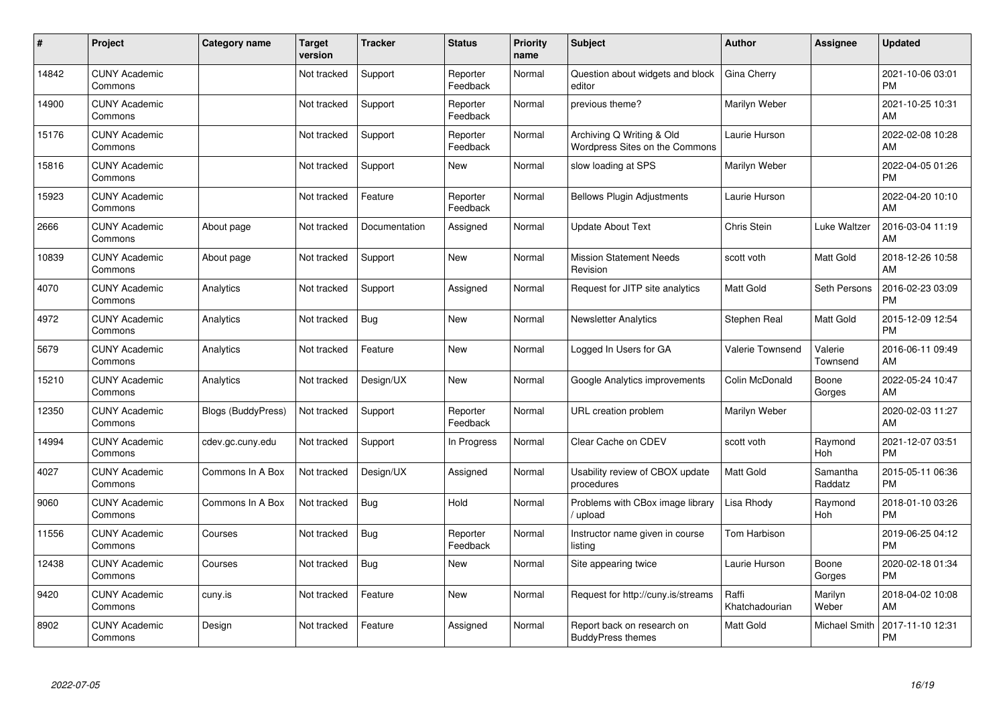| #     | Project                         | <b>Category name</b> | <b>Target</b><br>version | <b>Tracker</b> | <b>Status</b>        | <b>Priority</b><br>name | <b>Subject</b>                                              | <b>Author</b>           | <b>Assignee</b>     | <b>Updated</b>                |
|-------|---------------------------------|----------------------|--------------------------|----------------|----------------------|-------------------------|-------------------------------------------------------------|-------------------------|---------------------|-------------------------------|
| 14842 | <b>CUNY Academic</b><br>Commons |                      | Not tracked              | Support        | Reporter<br>Feedback | Normal                  | Question about widgets and block<br>editor                  | Gina Cherry             |                     | 2021-10-06 03:01<br><b>PM</b> |
| 14900 | <b>CUNY Academic</b><br>Commons |                      | Not tracked              | Support        | Reporter<br>Feedback | Normal                  | previous theme?                                             | Marilyn Weber           |                     | 2021-10-25 10:31<br>AM        |
| 15176 | <b>CUNY Academic</b><br>Commons |                      | Not tracked              | Support        | Reporter<br>Feedback | Normal                  | Archiving Q Writing & Old<br>Wordpress Sites on the Commons | Laurie Hurson           |                     | 2022-02-08 10:28<br>AM        |
| 15816 | <b>CUNY Academic</b><br>Commons |                      | Not tracked              | Support        | <b>New</b>           | Normal                  | slow loading at SPS                                         | Marilyn Weber           |                     | 2022-04-05 01:26<br><b>PM</b> |
| 15923 | <b>CUNY Academic</b><br>Commons |                      | Not tracked              | Feature        | Reporter<br>Feedback | Normal                  | <b>Bellows Plugin Adjustments</b>                           | Laurie Hurson           |                     | 2022-04-20 10:10<br>AM        |
| 2666  | <b>CUNY Academic</b><br>Commons | About page           | Not tracked              | Documentation  | Assigned             | Normal                  | <b>Update About Text</b>                                    | Chris Stein             | Luke Waltzer        | 2016-03-04 11:19<br>AM        |
| 10839 | <b>CUNY Academic</b><br>Commons | About page           | Not tracked              | Support        | <b>New</b>           | Normal                  | <b>Mission Statement Needs</b><br>Revision                  | scott voth              | Matt Gold           | 2018-12-26 10:58<br>AM        |
| 4070  | <b>CUNY Academic</b><br>Commons | Analytics            | Not tracked              | Support        | Assigned             | Normal                  | Request for JITP site analytics                             | <b>Matt Gold</b>        | Seth Persons        | 2016-02-23 03:09<br><b>PM</b> |
| 4972  | <b>CUNY Academic</b><br>Commons | Analytics            | Not tracked              | Bug            | New                  | Normal                  | <b>Newsletter Analytics</b>                                 | Stephen Real            | Matt Gold           | 2015-12-09 12:54<br><b>PM</b> |
| 5679  | <b>CUNY Academic</b><br>Commons | Analytics            | Not tracked              | Feature        | <b>New</b>           | Normal                  | Logged In Users for GA                                      | <b>Valerie Townsend</b> | Valerie<br>Townsend | 2016-06-11 09:49<br>AM        |
| 15210 | <b>CUNY Academic</b><br>Commons | Analytics            | Not tracked              | Design/UX      | New                  | Normal                  | Google Analytics improvements                               | Colin McDonald          | Boone<br>Gorges     | 2022-05-24 10:47<br>AM        |
| 12350 | <b>CUNY Academic</b><br>Commons | Blogs (BuddyPress)   | Not tracked              | Support        | Reporter<br>Feedback | Normal                  | URL creation problem                                        | Marilyn Weber           |                     | 2020-02-03 11:27<br>AM        |
| 14994 | <b>CUNY Academic</b><br>Commons | cdev.gc.cuny.edu     | Not tracked              | Support        | In Progress          | Normal                  | Clear Cache on CDEV                                         | scott voth              | Raymond<br>Hoh      | 2021-12-07 03:51<br><b>PM</b> |
| 4027  | <b>CUNY Academic</b><br>Commons | Commons In A Box     | Not tracked              | Design/UX      | Assigned             | Normal                  | Usability review of CBOX update<br>procedures               | <b>Matt Gold</b>        | Samantha<br>Raddatz | 2015-05-11 06:36<br><b>PM</b> |
| 9060  | <b>CUNY Academic</b><br>Commons | Commons In A Box     | Not tracked              | Bug            | Hold                 | Normal                  | Problems with CBox image library<br>upload                  | Lisa Rhody              | Raymond<br>Hoh      | 2018-01-10 03:26<br><b>PM</b> |
| 11556 | <b>CUNY Academic</b><br>Commons | Courses              | Not tracked              | Bug            | Reporter<br>Feedback | Normal                  | Instructor name given in course<br>listing                  | Tom Harbison            |                     | 2019-06-25 04:12<br><b>PM</b> |
| 12438 | <b>CUNY Academic</b><br>Commons | Courses              | Not tracked              | Bug            | New                  | Normal                  | Site appearing twice                                        | Laurie Hurson           | Boone<br>Gorges     | 2020-02-18 01:34<br><b>PM</b> |
| 9420  | <b>CUNY Academic</b><br>Commons | cuny.is              | Not tracked              | Feature        | <b>New</b>           | Normal                  | Request for http://cuny.is/streams                          | Raffi<br>Khatchadourian | Marilyn<br>Weber    | 2018-04-02 10:08<br>AM        |
| 8902  | <b>CUNY Academic</b><br>Commons | Design               | Not tracked              | Feature        | Assigned             | Normal                  | Report back on research on<br><b>BuddyPress themes</b>      | Matt Gold               | Michael Smith       | 2017-11-10 12:31<br><b>PM</b> |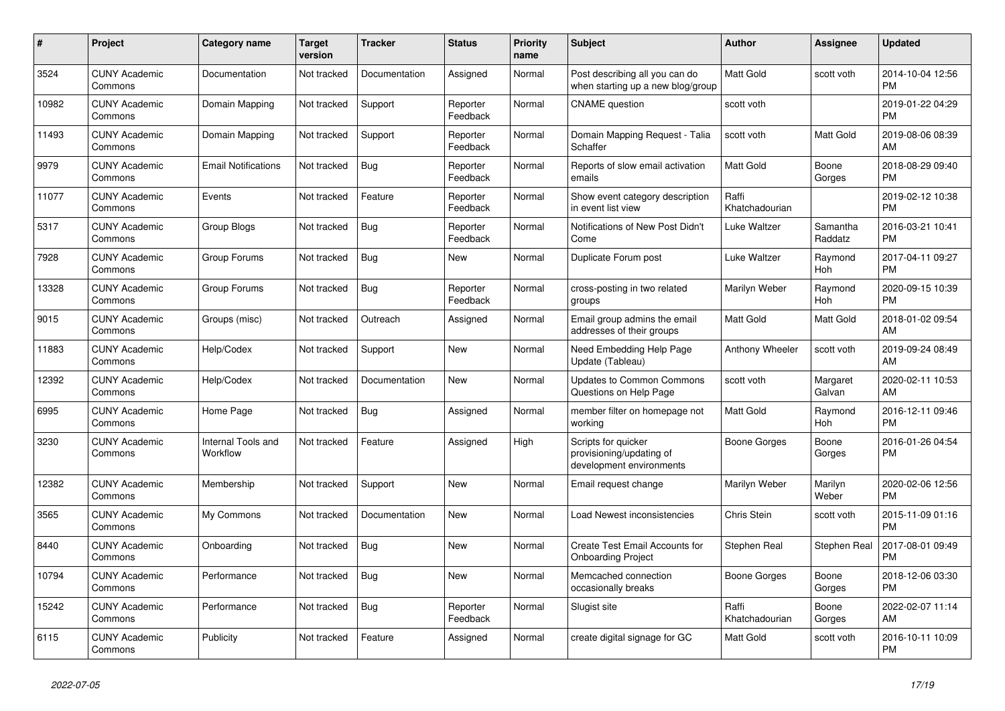| #     | Project                         | <b>Category name</b>                  | <b>Target</b><br>version | <b>Tracker</b> | <b>Status</b>        | <b>Priority</b><br>name | <b>Subject</b>                                                              | <b>Author</b>           | Assignee            | <b>Updated</b>                |
|-------|---------------------------------|---------------------------------------|--------------------------|----------------|----------------------|-------------------------|-----------------------------------------------------------------------------|-------------------------|---------------------|-------------------------------|
| 3524  | <b>CUNY Academic</b><br>Commons | Documentation                         | Not tracked              | Documentation  | Assigned             | Normal                  | Post describing all you can do<br>when starting up a new blog/group         | <b>Matt Gold</b>        | scott voth          | 2014-10-04 12:56<br><b>PM</b> |
| 10982 | <b>CUNY Academic</b><br>Commons | Domain Mapping                        | Not tracked              | Support        | Reporter<br>Feedback | Normal                  | <b>CNAME</b> question                                                       | scott voth              |                     | 2019-01-22 04:29<br><b>PM</b> |
| 11493 | <b>CUNY Academic</b><br>Commons | Domain Mapping                        | Not tracked              | Support        | Reporter<br>Feedback | Normal                  | Domain Mapping Request - Talia<br>Schaffer                                  | scott voth              | Matt Gold           | 2019-08-06 08:39<br>AM        |
| 9979  | <b>CUNY Academic</b><br>Commons | <b>Email Notifications</b>            | Not tracked              | Bug            | Reporter<br>Feedback | Normal                  | Reports of slow email activation<br>emails                                  | <b>Matt Gold</b>        | Boone<br>Gorges     | 2018-08-29 09:40<br><b>PM</b> |
| 11077 | <b>CUNY Academic</b><br>Commons | Events                                | Not tracked              | Feature        | Reporter<br>Feedback | Normal                  | Show event category description<br>in event list view                       | Raffi<br>Khatchadourian |                     | 2019-02-12 10:38<br><b>PM</b> |
| 5317  | <b>CUNY Academic</b><br>Commons | Group Blogs                           | Not tracked              | Bug            | Reporter<br>Feedback | Normal                  | Notifications of New Post Didn't<br>Come                                    | Luke Waltzer            | Samantha<br>Raddatz | 2016-03-21 10:41<br><b>PM</b> |
| 7928  | <b>CUNY Academic</b><br>Commons | Group Forums                          | Not tracked              | <b>Bug</b>     | <b>New</b>           | Normal                  | Duplicate Forum post                                                        | Luke Waltzer            | Raymond<br>Hoh      | 2017-04-11 09:27<br><b>PM</b> |
| 13328 | <b>CUNY Academic</b><br>Commons | Group Forums                          | Not tracked              | <b>Bug</b>     | Reporter<br>Feedback | Normal                  | cross-posting in two related<br>groups                                      | Marilyn Weber           | Raymond<br>Hoh      | 2020-09-15 10:39<br><b>PM</b> |
| 9015  | <b>CUNY Academic</b><br>Commons | Groups (misc)                         | Not tracked              | Outreach       | Assigned             | Normal                  | Email group admins the email<br>addresses of their groups                   | Matt Gold               | Matt Gold           | 2018-01-02 09:54<br>AM        |
| 11883 | <b>CUNY Academic</b><br>Commons | Help/Codex                            | Not tracked              | Support        | New                  | Normal                  | Need Embedding Help Page<br>Update (Tableau)                                | Anthony Wheeler         | scott voth          | 2019-09-24 08:49<br>AM        |
| 12392 | <b>CUNY Academic</b><br>Commons | Help/Codex                            | Not tracked              | Documentation  | <b>New</b>           | Normal                  | <b>Updates to Common Commons</b><br>Questions on Help Page                  | scott voth              | Margaret<br>Galvan  | 2020-02-11 10:53<br>AM        |
| 6995  | <b>CUNY Academic</b><br>Commons | Home Page                             | Not tracked              | Bug            | Assigned             | Normal                  | member filter on homepage not<br>working                                    | <b>Matt Gold</b>        | Raymond<br>Hoh      | 2016-12-11 09:46<br><b>PM</b> |
| 3230  | <b>CUNY Academic</b><br>Commons | <b>Internal Tools and</b><br>Workflow | Not tracked              | Feature        | Assigned             | High                    | Scripts for quicker<br>provisioning/updating of<br>development environments | <b>Boone Gorges</b>     | Boone<br>Gorges     | 2016-01-26 04:54<br><b>PM</b> |
| 12382 | <b>CUNY Academic</b><br>Commons | Membership                            | Not tracked              | Support        | New                  | Normal                  | Email request change                                                        | Marilyn Weber           | Marilyn<br>Weber    | 2020-02-06 12:56<br><b>PM</b> |
| 3565  | <b>CUNY Academic</b><br>Commons | My Commons                            | Not tracked              | Documentation  | New                  | Normal                  | Load Newest inconsistencies                                                 | Chris Stein             | scott voth          | 2015-11-09 01:16<br><b>PM</b> |
| 8440  | <b>CUNY Academic</b><br>Commons | Onboarding                            | Not tracked              | Bug            | <b>New</b>           | Normal                  | Create Test Email Accounts for<br><b>Onboarding Project</b>                 | Stephen Real            | Stephen Real        | 2017-08-01 09:49<br><b>PM</b> |
| 10794 | <b>CUNY Academic</b><br>Commons | Performance                           | Not tracked              | <b>Bug</b>     | <b>New</b>           | Normal                  | Memcached connection<br>occasionally breaks                                 | Boone Gorges            | Boone<br>Gorges     | 2018-12-06 03:30<br><b>PM</b> |
| 15242 | <b>CUNY Academic</b><br>Commons | Performance                           | Not tracked              | <b>Bug</b>     | Reporter<br>Feedback | Normal                  | Slugist site                                                                | Raffi<br>Khatchadourian | Boone<br>Gorges     | 2022-02-07 11:14<br>AM        |
| 6115  | <b>CUNY Academic</b><br>Commons | Publicity                             | Not tracked              | Feature        | Assigned             | Normal                  | create digital signage for GC                                               | <b>Matt Gold</b>        | scott voth          | 2016-10-11 10:09<br><b>PM</b> |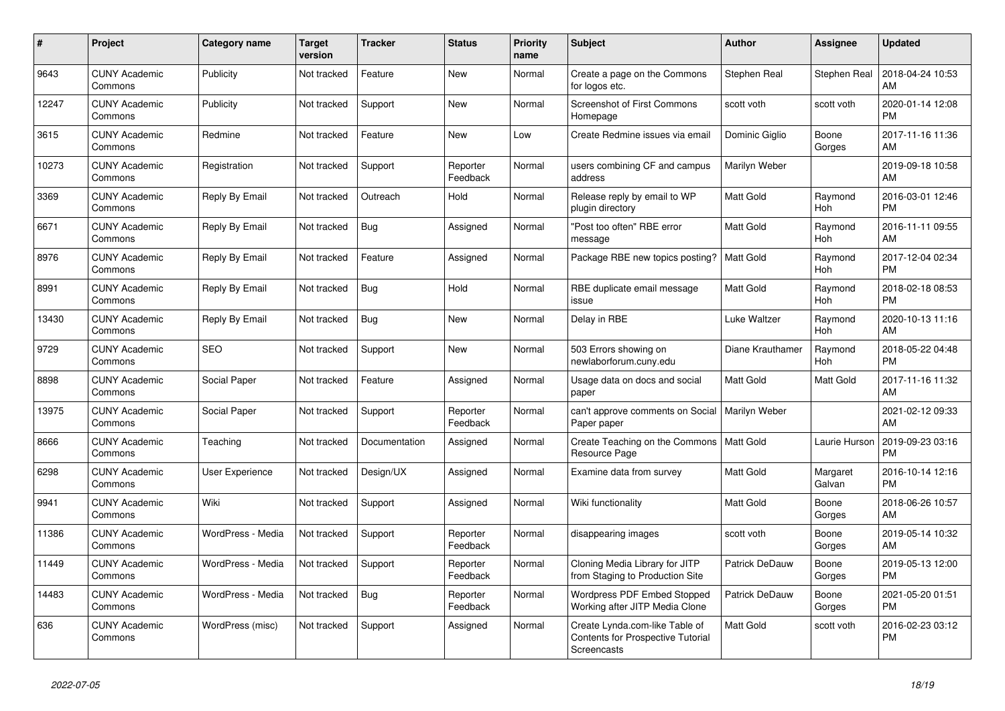| #     | Project                         | Category name          | <b>Target</b><br>version | <b>Tracker</b> | <b>Status</b>        | <b>Priority</b><br>name | <b>Subject</b>                                                                            | <b>Author</b>    | Assignee           | <b>Updated</b>                |
|-------|---------------------------------|------------------------|--------------------------|----------------|----------------------|-------------------------|-------------------------------------------------------------------------------------------|------------------|--------------------|-------------------------------|
| 9643  | <b>CUNY Academic</b><br>Commons | Publicity              | Not tracked              | Feature        | New                  | Normal                  | Create a page on the Commons<br>for logos etc.                                            | Stephen Real     | Stephen Real       | 2018-04-24 10:53<br>AM        |
| 12247 | <b>CUNY Academic</b><br>Commons | Publicity              | Not tracked              | Support        | New                  | Normal                  | <b>Screenshot of First Commons</b><br>Homepage                                            | scott voth       | scott voth         | 2020-01-14 12:08<br><b>PM</b> |
| 3615  | <b>CUNY Academic</b><br>Commons | Redmine                | Not tracked              | Feature        | <b>New</b>           | Low                     | Create Redmine issues via email                                                           | Dominic Giglio   | Boone<br>Gorges    | 2017-11-16 11:36<br>AM        |
| 10273 | <b>CUNY Academic</b><br>Commons | Registration           | Not tracked              | Support        | Reporter<br>Feedback | Normal                  | users combining CF and campus<br>address                                                  | Marilyn Weber    |                    | 2019-09-18 10:58<br>AM        |
| 3369  | <b>CUNY Academic</b><br>Commons | Reply By Email         | Not tracked              | Outreach       | Hold                 | Normal                  | Release reply by email to WP<br>plugin directory                                          | Matt Gold        | Raymond<br>Hoh     | 2016-03-01 12:46<br><b>PM</b> |
| 6671  | <b>CUNY Academic</b><br>Commons | Reply By Email         | Not tracked              | Bug            | Assigned             | Normal                  | "Post too often" RBE error<br>message                                                     | Matt Gold        | Raymond<br>Hoh     | 2016-11-11 09:55<br>AM        |
| 8976  | <b>CUNY Academic</b><br>Commons | Reply By Email         | Not tracked              | Feature        | Assigned             | Normal                  | Package RBE new topics posting?                                                           | <b>Matt Gold</b> | Raymond<br>Hoh     | 2017-12-04 02:34<br><b>PM</b> |
| 8991  | <b>CUNY Academic</b><br>Commons | Reply By Email         | Not tracked              | Bug            | Hold                 | Normal                  | RBE duplicate email message<br>issue                                                      | <b>Matt Gold</b> | Raymond<br>Hoh     | 2018-02-18 08:53<br><b>PM</b> |
| 13430 | <b>CUNY Academic</b><br>Commons | Reply By Email         | Not tracked              | Bug            | <b>New</b>           | Normal                  | Delay in RBE                                                                              | Luke Waltzer     | Raymond<br>Hoh     | 2020-10-13 11:16<br>AM        |
| 9729  | <b>CUNY Academic</b><br>Commons | <b>SEO</b>             | Not tracked              | Support        | New                  | Normal                  | 503 Errors showing on<br>newlaborforum.cuny.edu                                           | Diane Krauthamer | Raymond<br>Hoh     | 2018-05-22 04:48<br><b>PM</b> |
| 8898  | <b>CUNY Academic</b><br>Commons | Social Paper           | Not tracked              | Feature        | Assigned             | Normal                  | Usage data on docs and social<br>paper                                                    | <b>Matt Gold</b> | Matt Gold          | 2017-11-16 11:32<br>AM        |
| 13975 | <b>CUNY Academic</b><br>Commons | Social Paper           | Not tracked              | Support        | Reporter<br>Feedback | Normal                  | can't approve comments on Social<br>Paper paper                                           | Marilyn Weber    |                    | 2021-02-12 09:33<br>AM        |
| 8666  | <b>CUNY Academic</b><br>Commons | Teaching               | Not tracked              | Documentation  | Assigned             | Normal                  | Create Teaching on the Commons<br>Resource Page                                           | Matt Gold        | Laurie Hurson      | 2019-09-23 03:16<br><b>PM</b> |
| 6298  | <b>CUNY Academic</b><br>Commons | <b>User Experience</b> | Not tracked              | Design/UX      | Assigned             | Normal                  | Examine data from survey                                                                  | <b>Matt Gold</b> | Margaret<br>Galvan | 2016-10-14 12:16<br><b>PM</b> |
| 9941  | <b>CUNY Academic</b><br>Commons | Wiki                   | Not tracked              | Support        | Assigned             | Normal                  | Wiki functionality                                                                        | Matt Gold        | Boone<br>Gorges    | 2018-06-26 10:57<br>AM        |
| 11386 | <b>CUNY Academic</b><br>Commons | WordPress - Media      | Not tracked              | Support        | Reporter<br>Feedback | Normal                  | disappearing images                                                                       | scott voth       | Boone<br>Gorges    | 2019-05-14 10:32<br>AM        |
| 11449 | <b>CUNY Academic</b><br>Commons | WordPress - Media      | Not tracked              | Support        | Reporter<br>Feedback | Normal                  | Cloning Media Library for JITP<br>from Staging to Production Site                         | Patrick DeDauw   | Boone<br>Gorges    | 2019-05-13 12:00<br><b>PM</b> |
| 14483 | <b>CUNY Academic</b><br>Commons | WordPress - Media      | Not tracked              | Bug            | Reporter<br>Feedback | Normal                  | <b>Wordpress PDF Embed Stopped</b><br>Working after JITP Media Clone                      | Patrick DeDauw   | Boone<br>Gorges    | 2021-05-20 01:51<br><b>PM</b> |
| 636   | <b>CUNY Academic</b><br>Commons | WordPress (misc)       | Not tracked              | Support        | Assigned             | Normal                  | Create Lynda.com-like Table of<br><b>Contents for Prospective Tutorial</b><br>Screencasts | Matt Gold        | scott voth         | 2016-02-23 03:12<br><b>PM</b> |